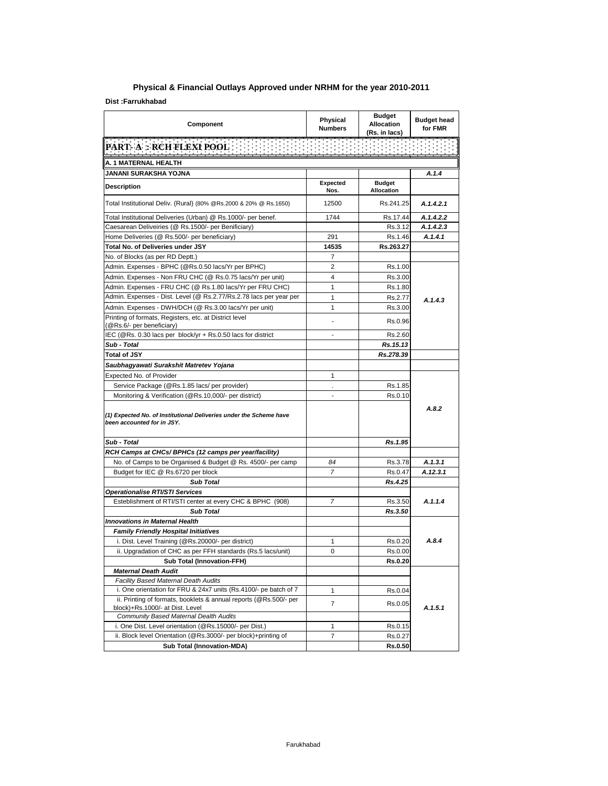| Component                                                                                            | Physical<br><b>Numbers</b> | <b>Budget</b><br><b>Allocation</b><br>(Rs. in lacs) | <b>Budget head</b><br>for FMR |
|------------------------------------------------------------------------------------------------------|----------------------------|-----------------------------------------------------|-------------------------------|
| न्दर्भ सम् <del>मा</del><br>PART- A : RCH FLEXI POOL                                                 |                            |                                                     |                               |
|                                                                                                      |                            |                                                     |                               |
| A. 1 MATERNAL HEALTH<br>JANANI SURAKSHA YOJNA                                                        |                            |                                                     | A.1.4                         |
|                                                                                                      | Expected                   | <b>Budget</b>                                       |                               |
| Description                                                                                          | Nos.                       | Allocation                                          |                               |
| Total Institutional Deliv. (Rural) (80% @Rs.2000 & 20% @ Rs.1650)                                    | 12500                      | Rs.241.25                                           | A.1.4.2.1                     |
| Total Institutional Deliveries (Urban) @ Rs.1000/- per benef.                                        | 1744                       | Rs.17.44                                            | A.1.4.2.2                     |
| Caesarean Deliveiries (@ Rs.1500/- per Benificiary)                                                  |                            | Rs.3.12                                             | A.1.4.2.3                     |
| Home Deliveries (@ Rs.500/- per beneficiary)                                                         | 291                        | Rs.1.46                                             | A.1.4.1                       |
| <b>Total No. of Deliveries under JSY</b>                                                             | 14535                      | Rs.263.27                                           |                               |
| No. of Blocks (as per RD Deptt.)                                                                     | 7                          |                                                     |                               |
| Admin. Expenses - BPHC (@Rs.0.50 lacs/Yr per BPHC)                                                   | 2                          | Rs.1.00                                             |                               |
| Admin. Expenses - Non FRU CHC (@ Rs.0.75 lacs/Yr per unit)                                           | 4                          | Rs.3.00                                             |                               |
| Admin. Expenses - FRU CHC (@ Rs.1.80 lacs/Yr per FRU CHC)                                            | $\mathbf{1}$               | Rs.1.80                                             |                               |
| Admin. Expenses - Dist. Level (@ Rs.2.77/Rs.2.78 lacs per year per                                   | 1                          | Rs.2.77                                             |                               |
| Admin. Expenses - DWH/DCH (@ Rs.3.00 lacs/Yr per unit)                                               | 1                          | Rs.3.00                                             | A.1.4.3                       |
| Printing of formats, Registers, etc. at District level<br>(@Rs.6/- per beneficiary)                  |                            | Rs.0.96                                             |                               |
| IEC (@Rs. 0.30 lacs per block/yr + Rs.0.50 lacs for district                                         | $\overline{\phantom{a}}$   | Rs.2.60                                             |                               |
| Sub - Total                                                                                          |                            | Rs.15.13                                            |                               |
| <b>Total of JSY</b>                                                                                  |                            | Rs.278.39                                           |                               |
| Saubhagyawati Surakshit Matretev Yojana                                                              |                            |                                                     |                               |
| Expected No. of Provider                                                                             | 1                          |                                                     |                               |
| Service Package (@Rs.1.85 lacs/ per provider)                                                        | $\epsilon$                 | Rs.1.85                                             |                               |
| Monitoring & Verification (@Rs.10,000/- per district)                                                | $\overline{a}$             | Rs.0.10                                             |                               |
| (1) Expected No. of Institutional Deliveries under the Scheme have<br>been accounted for in JSY.     |                            |                                                     | A.8.2                         |
| Sub - Total                                                                                          |                            | Rs.1.95                                             |                               |
| RCH Camps at CHCs/ BPHCs (12 camps per year/facility)                                                |                            |                                                     |                               |
| No. of Camps to be Organised & Budget @ Rs. 4500/- per camp                                          | 84                         | Rs.3.78                                             | A.1.3.1                       |
| Budget for IEC @ Rs.6720 per block                                                                   | 7                          | Rs.0.47                                             | A.12.3.1                      |
| <b>Sub Total</b>                                                                                     |                            | Rs.4.25                                             |                               |
| Operationalise RTI/STI Services                                                                      |                            |                                                     |                               |
| Esteblishment of RTI/STI center at every CHC & BPHC (908)                                            | 7                          | Rs.3.50                                             | A.1.1.4                       |
| <b>Sub Total</b>                                                                                     |                            | Rs.3.50                                             |                               |
| <b>Innovations in Maternal Health</b>                                                                |                            |                                                     |                               |
| <b>Family Friendly Hospital Initiatives</b>                                                          |                            |                                                     |                               |
| i. Dist. Level Training (@Rs.20000/- per district)                                                   | 1                          | Rs.0.20                                             | A.8.4                         |
| ii. Upgradation of CHC as per FFH standards (Rs.5 lacs/unit)                                         | 0                          | Rs.0.00                                             |                               |
| <b>Sub Total (Innovation-FFH)</b>                                                                    |                            | <b>Rs.0.20</b>                                      |                               |
| <b>Maternal Death Audit</b>                                                                          |                            |                                                     |                               |
| <b>Facility Based Maternal Death Audits</b>                                                          |                            |                                                     |                               |
| i. One orientation for FRU & 24x7 units (Rs.4100/- pe batch of 7                                     | 1                          | Rs.0.04                                             |                               |
| ii. Printing of formats, booklets & annual reports (@Rs.500/- per<br>block)+Rs.1000/- at Dist. Level | 7                          | Rs.0.05                                             | A.1.5.1                       |
| Community Based Maternal Dealth Audits                                                               |                            |                                                     |                               |
| i. One Dist. Level orientation (@Rs.15000/- per Dist.)                                               | 1                          | Rs.0.15                                             |                               |
| ii. Block level Orientation (@Rs.3000/- per block)+printing of                                       | $\overline{7}$             | Rs.0.27                                             |                               |
| <b>Sub Total (Innovation-MDA)</b>                                                                    |                            | Rs.0.50                                             |                               |

## **Physical & Financial Outlays Approved under NRHM for the year 2010-2011**

**Dist :Farrukhabad**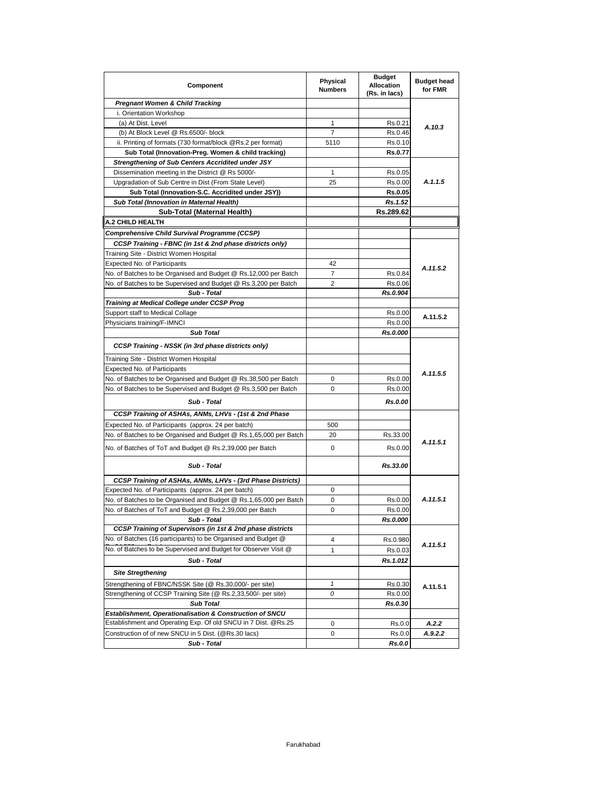| Component                                                                    | Physical<br><b>Numbers</b> | <b>Budget</b><br><b>Allocation</b><br>(Rs. in lacs) | <b>Budget head</b><br>for FMR |  |
|------------------------------------------------------------------------------|----------------------------|-----------------------------------------------------|-------------------------------|--|
| <b>Pregnant Women &amp; Child Tracking</b>                                   |                            |                                                     |                               |  |
| i. Orientation Workshop                                                      |                            |                                                     |                               |  |
| (a) At Dist. Level                                                           | 1                          | Rs.0.21                                             |                               |  |
| (b) At Block Level @ Rs.6500/- block                                         | 7                          | Rs.0.46                                             | A.10.3                        |  |
| ii. Printing of formats (730 format/block @Rs.2 per format)                  | 5110                       | Rs.0.10                                             |                               |  |
| Sub Total (Innovation-Preg. Women & child tracking)                          |                            | Rs.0.77                                             |                               |  |
| <b>Strengthening of Sub Centers Accridited under JSY</b>                     |                            |                                                     |                               |  |
| Dissemination meeting in the District @ Rs 5000/-                            | 1                          | Rs.0.05                                             |                               |  |
| Upgradation of Sub Centre in Dist (From State Level)                         | 25                         | Rs.0.00                                             | A.1.1.5                       |  |
| Sub Total (Innovation-S.C. Accridited under JSY))                            |                            | Rs.0.05                                             |                               |  |
| Sub Total (Innovation in Maternal Health)                                    |                            | Rs.1.52                                             |                               |  |
| Sub-Total (Maternal Health)                                                  |                            | Rs.289.62                                           |                               |  |
| <b>A.2 CHILD HEALTH</b>                                                      |                            |                                                     |                               |  |
| Comprehensive Child Survival Programme (CCSP)                                |                            |                                                     |                               |  |
| CCSP Training - FBNC (in 1st & 2nd phase districts only)                     |                            |                                                     |                               |  |
| Training Site - District Women Hospital                                      |                            |                                                     |                               |  |
| <b>Expected No. of Participants</b>                                          | 42                         |                                                     |                               |  |
| No. of Batches to be Organised and Budget @ Rs.12,000 per Batch              | 7                          | Rs.0.84                                             | A.11.5.2                      |  |
| No. of Batches to be Supervised and Budget @ Rs.3,200 per Batch              | 2                          | Rs.0.06                                             |                               |  |
| Sub - Total                                                                  |                            | Rs.0.904                                            |                               |  |
|                                                                              |                            |                                                     |                               |  |
| Training at Medical College under CCSP Prog                                  |                            |                                                     |                               |  |
| Support staff to Medical Collage                                             |                            | Rs.0.00                                             | A.11.5.2                      |  |
| Physicians training/F-IMNCI                                                  |                            | Rs.0.00                                             |                               |  |
| <b>Sub Total</b>                                                             |                            | Rs.0.000                                            |                               |  |
| <b>CCSP Training - NSSK (in 3rd phase districts only)</b>                    |                            |                                                     |                               |  |
| Training Site - District Women Hospital                                      |                            |                                                     |                               |  |
| <b>Expected No. of Participants</b>                                          |                            |                                                     | A.11.5.5                      |  |
| No. of Batches to be Organised and Budget @ Rs.38,500 per Batch              | 0                          | Rs.0.00                                             |                               |  |
| No. of Batches to be Supervised and Budget @ Rs.3,500 per Batch              | 0                          | Rs.0.00                                             |                               |  |
| Sub - Total                                                                  |                            | Rs.0.00                                             |                               |  |
| CCSP Training of ASHAs, ANMs, LHVs - (1st & 2nd Phase                        |                            |                                                     |                               |  |
| Expected No. of Participants (approx. 24 per batch)                          | 500                        |                                                     |                               |  |
| No. of Batches to be Organised and Budget @ Rs.1,65,000 per Batch            | 20                         | Rs.33.00                                            |                               |  |
| No. of Batches of ToT and Budget @ Rs.2,39,000 per Batch                     | 0                          | Rs.0.00                                             | A.11.5.1                      |  |
| Sub - Total                                                                  |                            | Rs.33.00                                            |                               |  |
| CCSP Training of ASHAs, ANMs, LHVs - (3rd Phase Districts)                   |                            |                                                     |                               |  |
| Expected No. of Participants (approx. 24 per batch)                          | 0                          |                                                     |                               |  |
| No. of Batches to be Organised and Budget @ Rs.1,65,000 per Batch            | 0                          | Rs.0.00                                             | A.11.5.1                      |  |
| No. of Batches of ToT and Budget @ Rs.2,39,000 per Batch                     | 0                          | Rs.0.00                                             |                               |  |
| Sub - Total                                                                  |                            | Rs.0.000                                            |                               |  |
| CCSP Training of Supervisors (in 1st & 2nd phase districts                   |                            |                                                     |                               |  |
| No. of Batches (16 participants) to be Organised and Budget @                | 4                          | Rs.0.980                                            |                               |  |
| No. of Batches to be Supervised and Budget for Observer Visit @              | 1                          | Rs.0.03                                             | A.11.5.1                      |  |
|                                                                              |                            |                                                     |                               |  |
| Sub - Total<br><b>Site Stregthening</b>                                      |                            | Rs.1.012                                            |                               |  |
| Strengthening of FBNC/NSSK Site (@ Rs.30,000/- per site)                     | 1                          | Rs.0.30                                             |                               |  |
| Strengthening of CCSP Training Site (@ Rs.2,33,500/- per site)               | 0                          | Rs.0.00                                             | A.11.5.1                      |  |
|                                                                              |                            | Rs.0.30                                             |                               |  |
| <b>Sub Total</b><br>Establishment, Operationalisation & Construction of SNCU |                            |                                                     |                               |  |
| Establishment and Operating Exp. Of old SNCU in 7 Dist. @Rs.25               |                            |                                                     |                               |  |
| Construction of of new SNCU in 5 Dist. (@Rs.30 lacs)                         | 0<br>0                     | Rs.0.0                                              | A.2.2<br>A.9.2.2              |  |
|                                                                              |                            | Rs.0.0                                              |                               |  |
| Sub - Total                                                                  |                            | Rs.0.0                                              |                               |  |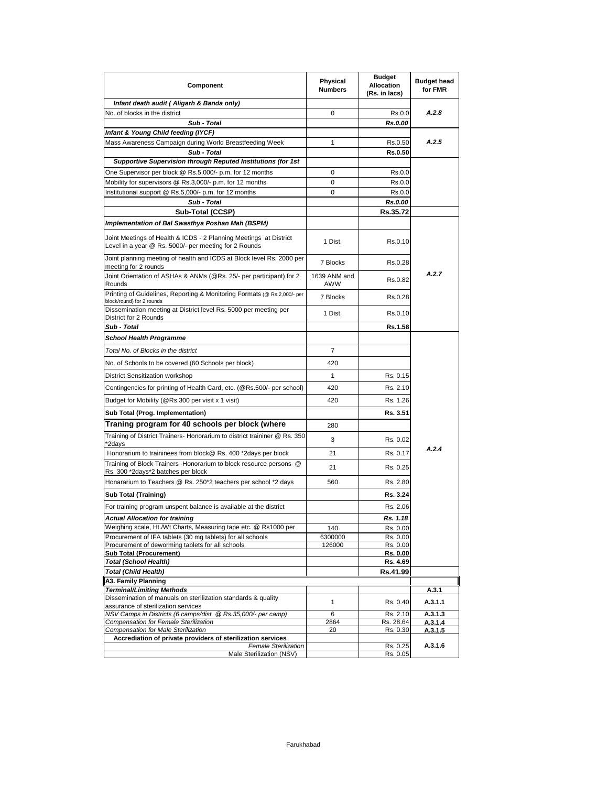| Component                                                                                                                  | Physical<br><b>Numbers</b> | <b>Budget</b><br><b>Allocation</b><br>(Rs. in lacs) | <b>Budget head</b><br>for FMR |
|----------------------------------------------------------------------------------------------------------------------------|----------------------------|-----------------------------------------------------|-------------------------------|
| Infant death audit (Aligarh & Banda only)                                                                                  |                            |                                                     |                               |
| No. of blocks in the district                                                                                              | 0                          | Rs.0.0                                              | A.2.8                         |
| Sub - Total                                                                                                                |                            | Rs.0.00                                             |                               |
| Infant & Young Child feeding (IYCF)                                                                                        |                            |                                                     |                               |
| Mass Awareness Campaign during World Breastfeeding Week                                                                    | 1                          | Rs.0.50                                             | A.2.5                         |
| Sub - Total<br><b>Supportive Supervision through Reputed Institutions (for 1st</b>                                         |                            | Rs.0.50                                             |                               |
| One Supervisor per block @ Rs.5,000/- p.m. for 12 months                                                                   | 0                          | Rs.0.0                                              |                               |
| Mobility for supervisors @ Rs.3,000/- p.m. for 12 months                                                                   | 0                          | Rs.0.0                                              |                               |
| Institutional support @ Rs.5,000/- p.m. for 12 months                                                                      | 0                          | Rs.0.0                                              |                               |
| Sub - Total                                                                                                                |                            | Rs.0.00                                             |                               |
| Sub-Total (CCSP)                                                                                                           |                            | Rs.35.72                                            |                               |
| Implementation of Bal Swasthya Poshan Mah (BSPM)                                                                           |                            |                                                     |                               |
| Joint Meetings of Health & ICDS - 2 Planning Meetings at District<br>Level in a year @ Rs. 5000/- per meeting for 2 Rounds | 1 Dist.                    | Rs.0.10                                             |                               |
| Joint planning meeting of health and ICDS at Block level Rs. 2000 per<br>meeting for 2 rounds                              | 7 Blocks                   | Rs.0.28                                             |                               |
| Joint Orientation of ASHAs & ANMs (@Rs. 25/- per participant) for 2<br>Rounds                                              | 1639 ANM and<br>AWW        | Rs.0.82                                             | A.2.7                         |
| Printing of Guidelines, Reporting & Monitoring Formats (@ Rs.2,000/- per<br>block/round) for 2 rounds                      | 7 Blocks                   | Rs.0.28                                             |                               |
| Dissemination meeting at District level Rs. 5000 per meeting per<br>District for 2 Rounds                                  | 1 Dist.                    | Rs.0.10                                             |                               |
| Sub - Total                                                                                                                |                            | Rs.1.58                                             |                               |
| <b>School Health Programme</b>                                                                                             |                            |                                                     |                               |
| Total No. of Blocks in the district                                                                                        | 7                          |                                                     |                               |
| No. of Schools to be covered (60 Schools per block)                                                                        | 420                        |                                                     |                               |
| District Sensitization workshop                                                                                            | 1                          | Rs. 0.15                                            |                               |
| Contingencies for printing of Health Card, etc. (@Rs.500/- per school)                                                     | 420                        | Rs. 2.10                                            |                               |
| Budget for Mobility (@Rs.300 per visit x 1 visit)                                                                          | 420                        | Rs. 1.26                                            |                               |
| Sub Total (Prog. Implementation)                                                                                           |                            | Rs. 3.51                                            |                               |
| Traning program for 40 schools per block (where                                                                            | 280                        |                                                     |                               |
| Training of District Trainers- Honorarium to district traininer @ Rs. 350<br>*2days                                        | 3                          | Rs. 0.02                                            |                               |
| Honorarium to traininees from block@ Rs. 400 *2days per block                                                              | 21                         | Rs. 0.17                                            | A.2.4                         |
| Training of Block Trainers -Honorarium to block resource persons @<br>Rs. 300 *2days*2 batches per block                   | 21                         | Rs. 0.25                                            |                               |
| Honararium to Teachers @ Rs. 250*2 teachers per school *2 days                                                             | 560                        | Rs. 2.80                                            |                               |
| Sub Total (Training)                                                                                                       |                            | Rs. 3.24                                            |                               |
| For training program unspent balance is available at the district                                                          |                            | Rs. 2.06                                            |                               |
| <b>Actual Allocation for training</b>                                                                                      |                            | Rs. 1.18                                            |                               |
| Weighing scale, Ht./Wt Charts, Measuring tape etc. @ Rs1000 per                                                            | 140                        | Rs. 0.00                                            |                               |
| Procurement of IFA tablets (30 mg tablets) for all schools                                                                 | 6300000                    | Rs. 0.00                                            |                               |
| Procurement of deworming tablets for all schools<br><b>Sub Total (Procurement)</b>                                         | 126000                     | Rs. 0.00<br><u>Rs. 0.00</u>                         |                               |
| Total (School Health)                                                                                                      |                            | Rs. 4.69                                            |                               |
| Total (Child Health)                                                                                                       |                            | Rs.41.99                                            |                               |
| A3. Family Planning                                                                                                        |                            |                                                     |                               |
| Terminal/Limiting Methods                                                                                                  |                            |                                                     | A.3.1                         |
| Dissemination of manuals on sterilization standards & quality<br>assurance of sterilization services                       | 1                          | Rs. 0.40                                            | A.3.1.1                       |
| NSV Camps in Districts (6 camps/dist. @ Rs.35,000/- per camp)                                                              | 6                          | Rs. 2.10                                            | A.3.1.3                       |
| Compensation for Female Sterilization                                                                                      | 2864                       | Rs. 28.64                                           | A.3.1.4                       |
| <b>Compensation for Male Sterilization</b><br>Accrediation of private providers of sterilization services                  | 20                         | Rs. 0.30                                            | A.3.1.5                       |
| Female Sterilization                                                                                                       |                            | Rs. 0.25                                            | A.3.1.6                       |
| Male Sterilization (NSV)                                                                                                   |                            | Rs. 0.05                                            |                               |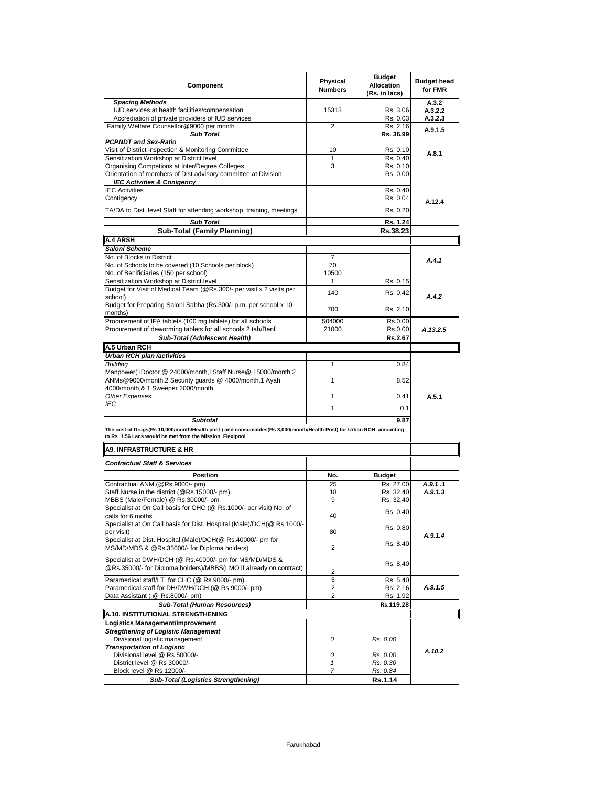| <b>Spacing Methods</b><br>A.3.2<br>IUD services at health facilities/compensation<br>15313<br>Rs. 3.06<br>A.3.2.2<br>Accrediation of private providers of IUD services<br>Rs. 0.03<br>A.3.2.3<br>Family Welfare Counsellor@9000 per month<br>2<br>Rs. 2.16<br>A.9.1.5<br><b>Sub Total</b><br>Rs. 36.99<br><b>PCPNDT</b> and Sex-Ratio<br>Visit of District Inspection & Monitoring Committee<br>10<br>Rs. 0.10<br>A.8.1<br>Sensitization Workshop at District level<br>Rs. 0.40<br>1<br>3<br>Organising Competions at Inter/Degree Colleges<br>Rs. 0.10<br>Orientation of members of Dist advisory committee at Division<br>Rs. 0.00<br><b>IEC Activities &amp; Conigency</b><br><b>IEC Activities</b><br>Rs. 0.40<br>Contigency<br>Rs. 0.04<br>A.12.4<br>TA/DA to Dist. level Staff for attending workshop, training, meetings<br>Rs. 0.20<br><b>Sub Total</b><br>Rs. 1.24<br><b>Sub-Total (Family Planning)</b><br>Rs.38.23<br>A.4 ARSH<br>Saloni Scheme<br>No. of Blocks in District<br>7<br>A.4.1<br>No. of Schools to be covered (10 Schools per block)<br>70<br>No. of Benificiaries (150 per school)<br>10500<br>Sensitization Workshop at District level<br>Rs. 0.15<br>1<br>Budget for Visit of Medical Team (@Rs.300/- per visit x 2 visits per<br>140<br>Rs. 0.42<br>A.4.2<br>school)<br>Budget for Preparing Saloni Sabha (Rs.300/- p.m. per school x 10<br>700<br>Rs. 2.10<br>months)<br>Procurement of IFA tablets (100 mg tablets) for all schools<br>504000<br>Rs.0.00<br>Procurement of deworming tablets for all schools 2 tab/Benf.<br>21000<br>Rs.0.00<br>A.13.2.5<br>Sub-Total (Adolescent Health)<br>Rs.2.67<br>A.5 Urban RCH<br>Urban RCH plan /activities<br><b>Building</b><br>1<br>0.84<br>Manpower(1Doctor @ 24000/month,1Staff Nurse@ 15000/month,2<br>ANMs@9000/month,2 Security guards @ 4000/month,1 Ayah<br>1<br>8.52<br>4000/month,& 1 Sweeper 2000/month<br>Other Expenses<br>1<br>0.41<br>A.5.1<br>IEC<br>1<br>0.1<br><b>Subtotal</b><br>9.87<br>The cost of Drugs(Rs 10,000/month/Health post ) and consumables(Rs 3,000/month/Health Post) for Urban RCH amounting<br>to Rs 1.56 Lacs would be met from the Mission Flexipool<br><b>A9. INFRASTRUCTURE &amp; HR</b><br><b>Contractual Staff &amp; Services</b><br><b>Position</b><br>No.<br><b>Budget</b><br>Contractual ANM (@Rs.9000/- pm)<br>25<br>Rs. 27.00<br>A.9.1.1<br>Staff Nurse in the district (@Rs.15000/- pm)<br>18<br>Rs. 32.40<br>A.9.1.3<br>9<br>MBBS (Male/Female) @ Rs.30000/- pm<br>Rs. 32.40<br>Specialist at On Call basis for CHC (@ Rs.1000/- per visit) No. of<br>Rs. 0.40<br>calls for 6 moths<br>40<br>Specialist at On Call basis for Dist. Hospital (Male)/DCH(@ Rs.1000/-<br>Rs. 0.80<br>80<br>per visit)<br>A.9.1.4<br>Specialist at Dist. Hospital (Male)/DCH(@ Rs.40000/- pm for<br>Rs. 8.40<br>MS/MD/MDS & @Rs.35000/- for Diploma holders)<br>2<br>Specialist at DWH/DCH (@ Rs.40000/- pm for MS/MD/MDS &<br>Rs. 8.40<br>@Rs.35000/- for Diploma holders)/MBBS(LMO if already on contract)<br>2<br>Paramedical staff/LT for CHC (@ Rs.9000/- pm)<br>5<br>Rs. 5.40<br>Paramedical staff for DH/DWH/DCH (@ Rs.9000/- pm)<br>A.9.1.5<br>2<br>Rs. 2.16<br>Data Assistant ( @ Rs.8000/- pm)<br>2<br>Rs. 1.92<br>Sub-Total (Human Resources)<br>Rs.119.28<br>A.10. INSTITUTIONAL STRENGTHENING<br>Logistics Management/Improvement<br><b>Stregthening of Logistic Management</b><br>Divisional logistic management<br>0<br>Rs. 0.00<br><b>Transportation of Logistic</b><br>A.10.2<br>Divisional level @ Rs 50000/-<br>0<br>Rs. 0.00<br>District level @ Rs 30000/-<br>$\pmb{\mathcal{I}}$<br>Rs. 0.30<br>Block level @ Rs 12000/-<br>Rs. 0.84<br>7 | Component                                  | Physical<br><b>Numbers</b> | <b>Budget</b><br><b>Allocation</b><br>(Rs. in lacs) | <b>Budget head</b><br>for FMR |  |
|----------------------------------------------------------------------------------------------------------------------------------------------------------------------------------------------------------------------------------------------------------------------------------------------------------------------------------------------------------------------------------------------------------------------------------------------------------------------------------------------------------------------------------------------------------------------------------------------------------------------------------------------------------------------------------------------------------------------------------------------------------------------------------------------------------------------------------------------------------------------------------------------------------------------------------------------------------------------------------------------------------------------------------------------------------------------------------------------------------------------------------------------------------------------------------------------------------------------------------------------------------------------------------------------------------------------------------------------------------------------------------------------------------------------------------------------------------------------------------------------------------------------------------------------------------------------------------------------------------------------------------------------------------------------------------------------------------------------------------------------------------------------------------------------------------------------------------------------------------------------------------------------------------------------------------------------------------------------------------------------------------------------------------------------------------------------------------------------------------------------------------------------------------------------------------------------------------------------------------------------------------------------------------------------------------------------------------------------------------------------------------------------------------------------------------------------------------------------------------------------------------------------------------------------------------------------------------------------------------------------------------------------------------------------------------------------------------------------------------------------------------------------------------------------------------------------------------------------------------------------------------------------------------------------------------------------------------------------------------------------------------------------------------------------------------------------------------------------------------------------------------------------------------------------------------------------------------------------------------------------------------------------------------------------------------------------------------------------------------------------------------------------------------------------------------------------------------------------------------------------------------------------------------------------------------------------------------------------------------------------------------------------------------------------|--------------------------------------------|----------------------------|-----------------------------------------------------|-------------------------------|--|
|                                                                                                                                                                                                                                                                                                                                                                                                                                                                                                                                                                                                                                                                                                                                                                                                                                                                                                                                                                                                                                                                                                                                                                                                                                                                                                                                                                                                                                                                                                                                                                                                                                                                                                                                                                                                                                                                                                                                                                                                                                                                                                                                                                                                                                                                                                                                                                                                                                                                                                                                                                                                                                                                                                                                                                                                                                                                                                                                                                                                                                                                                                                                                                                                                                                                                                                                                                                                                                                                                                                                                                                                                                                                      |                                            |                            |                                                     |                               |  |
|                                                                                                                                                                                                                                                                                                                                                                                                                                                                                                                                                                                                                                                                                                                                                                                                                                                                                                                                                                                                                                                                                                                                                                                                                                                                                                                                                                                                                                                                                                                                                                                                                                                                                                                                                                                                                                                                                                                                                                                                                                                                                                                                                                                                                                                                                                                                                                                                                                                                                                                                                                                                                                                                                                                                                                                                                                                                                                                                                                                                                                                                                                                                                                                                                                                                                                                                                                                                                                                                                                                                                                                                                                                                      |                                            |                            |                                                     |                               |  |
|                                                                                                                                                                                                                                                                                                                                                                                                                                                                                                                                                                                                                                                                                                                                                                                                                                                                                                                                                                                                                                                                                                                                                                                                                                                                                                                                                                                                                                                                                                                                                                                                                                                                                                                                                                                                                                                                                                                                                                                                                                                                                                                                                                                                                                                                                                                                                                                                                                                                                                                                                                                                                                                                                                                                                                                                                                                                                                                                                                                                                                                                                                                                                                                                                                                                                                                                                                                                                                                                                                                                                                                                                                                                      |                                            |                            |                                                     |                               |  |
|                                                                                                                                                                                                                                                                                                                                                                                                                                                                                                                                                                                                                                                                                                                                                                                                                                                                                                                                                                                                                                                                                                                                                                                                                                                                                                                                                                                                                                                                                                                                                                                                                                                                                                                                                                                                                                                                                                                                                                                                                                                                                                                                                                                                                                                                                                                                                                                                                                                                                                                                                                                                                                                                                                                                                                                                                                                                                                                                                                                                                                                                                                                                                                                                                                                                                                                                                                                                                                                                                                                                                                                                                                                                      |                                            |                            |                                                     |                               |  |
|                                                                                                                                                                                                                                                                                                                                                                                                                                                                                                                                                                                                                                                                                                                                                                                                                                                                                                                                                                                                                                                                                                                                                                                                                                                                                                                                                                                                                                                                                                                                                                                                                                                                                                                                                                                                                                                                                                                                                                                                                                                                                                                                                                                                                                                                                                                                                                                                                                                                                                                                                                                                                                                                                                                                                                                                                                                                                                                                                                                                                                                                                                                                                                                                                                                                                                                                                                                                                                                                                                                                                                                                                                                                      |                                            |                            |                                                     |                               |  |
|                                                                                                                                                                                                                                                                                                                                                                                                                                                                                                                                                                                                                                                                                                                                                                                                                                                                                                                                                                                                                                                                                                                                                                                                                                                                                                                                                                                                                                                                                                                                                                                                                                                                                                                                                                                                                                                                                                                                                                                                                                                                                                                                                                                                                                                                                                                                                                                                                                                                                                                                                                                                                                                                                                                                                                                                                                                                                                                                                                                                                                                                                                                                                                                                                                                                                                                                                                                                                                                                                                                                                                                                                                                                      |                                            |                            |                                                     |                               |  |
|                                                                                                                                                                                                                                                                                                                                                                                                                                                                                                                                                                                                                                                                                                                                                                                                                                                                                                                                                                                                                                                                                                                                                                                                                                                                                                                                                                                                                                                                                                                                                                                                                                                                                                                                                                                                                                                                                                                                                                                                                                                                                                                                                                                                                                                                                                                                                                                                                                                                                                                                                                                                                                                                                                                                                                                                                                                                                                                                                                                                                                                                                                                                                                                                                                                                                                                                                                                                                                                                                                                                                                                                                                                                      |                                            |                            |                                                     |                               |  |
|                                                                                                                                                                                                                                                                                                                                                                                                                                                                                                                                                                                                                                                                                                                                                                                                                                                                                                                                                                                                                                                                                                                                                                                                                                                                                                                                                                                                                                                                                                                                                                                                                                                                                                                                                                                                                                                                                                                                                                                                                                                                                                                                                                                                                                                                                                                                                                                                                                                                                                                                                                                                                                                                                                                                                                                                                                                                                                                                                                                                                                                                                                                                                                                                                                                                                                                                                                                                                                                                                                                                                                                                                                                                      |                                            |                            |                                                     |                               |  |
|                                                                                                                                                                                                                                                                                                                                                                                                                                                                                                                                                                                                                                                                                                                                                                                                                                                                                                                                                                                                                                                                                                                                                                                                                                                                                                                                                                                                                                                                                                                                                                                                                                                                                                                                                                                                                                                                                                                                                                                                                                                                                                                                                                                                                                                                                                                                                                                                                                                                                                                                                                                                                                                                                                                                                                                                                                                                                                                                                                                                                                                                                                                                                                                                                                                                                                                                                                                                                                                                                                                                                                                                                                                                      |                                            |                            |                                                     |                               |  |
|                                                                                                                                                                                                                                                                                                                                                                                                                                                                                                                                                                                                                                                                                                                                                                                                                                                                                                                                                                                                                                                                                                                                                                                                                                                                                                                                                                                                                                                                                                                                                                                                                                                                                                                                                                                                                                                                                                                                                                                                                                                                                                                                                                                                                                                                                                                                                                                                                                                                                                                                                                                                                                                                                                                                                                                                                                                                                                                                                                                                                                                                                                                                                                                                                                                                                                                                                                                                                                                                                                                                                                                                                                                                      |                                            |                            |                                                     |                               |  |
|                                                                                                                                                                                                                                                                                                                                                                                                                                                                                                                                                                                                                                                                                                                                                                                                                                                                                                                                                                                                                                                                                                                                                                                                                                                                                                                                                                                                                                                                                                                                                                                                                                                                                                                                                                                                                                                                                                                                                                                                                                                                                                                                                                                                                                                                                                                                                                                                                                                                                                                                                                                                                                                                                                                                                                                                                                                                                                                                                                                                                                                                                                                                                                                                                                                                                                                                                                                                                                                                                                                                                                                                                                                                      |                                            |                            |                                                     |                               |  |
|                                                                                                                                                                                                                                                                                                                                                                                                                                                                                                                                                                                                                                                                                                                                                                                                                                                                                                                                                                                                                                                                                                                                                                                                                                                                                                                                                                                                                                                                                                                                                                                                                                                                                                                                                                                                                                                                                                                                                                                                                                                                                                                                                                                                                                                                                                                                                                                                                                                                                                                                                                                                                                                                                                                                                                                                                                                                                                                                                                                                                                                                                                                                                                                                                                                                                                                                                                                                                                                                                                                                                                                                                                                                      |                                            |                            |                                                     |                               |  |
|                                                                                                                                                                                                                                                                                                                                                                                                                                                                                                                                                                                                                                                                                                                                                                                                                                                                                                                                                                                                                                                                                                                                                                                                                                                                                                                                                                                                                                                                                                                                                                                                                                                                                                                                                                                                                                                                                                                                                                                                                                                                                                                                                                                                                                                                                                                                                                                                                                                                                                                                                                                                                                                                                                                                                                                                                                                                                                                                                                                                                                                                                                                                                                                                                                                                                                                                                                                                                                                                                                                                                                                                                                                                      |                                            |                            |                                                     |                               |  |
|                                                                                                                                                                                                                                                                                                                                                                                                                                                                                                                                                                                                                                                                                                                                                                                                                                                                                                                                                                                                                                                                                                                                                                                                                                                                                                                                                                                                                                                                                                                                                                                                                                                                                                                                                                                                                                                                                                                                                                                                                                                                                                                                                                                                                                                                                                                                                                                                                                                                                                                                                                                                                                                                                                                                                                                                                                                                                                                                                                                                                                                                                                                                                                                                                                                                                                                                                                                                                                                                                                                                                                                                                                                                      |                                            |                            |                                                     |                               |  |
|                                                                                                                                                                                                                                                                                                                                                                                                                                                                                                                                                                                                                                                                                                                                                                                                                                                                                                                                                                                                                                                                                                                                                                                                                                                                                                                                                                                                                                                                                                                                                                                                                                                                                                                                                                                                                                                                                                                                                                                                                                                                                                                                                                                                                                                                                                                                                                                                                                                                                                                                                                                                                                                                                                                                                                                                                                                                                                                                                                                                                                                                                                                                                                                                                                                                                                                                                                                                                                                                                                                                                                                                                                                                      |                                            |                            |                                                     |                               |  |
|                                                                                                                                                                                                                                                                                                                                                                                                                                                                                                                                                                                                                                                                                                                                                                                                                                                                                                                                                                                                                                                                                                                                                                                                                                                                                                                                                                                                                                                                                                                                                                                                                                                                                                                                                                                                                                                                                                                                                                                                                                                                                                                                                                                                                                                                                                                                                                                                                                                                                                                                                                                                                                                                                                                                                                                                                                                                                                                                                                                                                                                                                                                                                                                                                                                                                                                                                                                                                                                                                                                                                                                                                                                                      |                                            |                            |                                                     |                               |  |
|                                                                                                                                                                                                                                                                                                                                                                                                                                                                                                                                                                                                                                                                                                                                                                                                                                                                                                                                                                                                                                                                                                                                                                                                                                                                                                                                                                                                                                                                                                                                                                                                                                                                                                                                                                                                                                                                                                                                                                                                                                                                                                                                                                                                                                                                                                                                                                                                                                                                                                                                                                                                                                                                                                                                                                                                                                                                                                                                                                                                                                                                                                                                                                                                                                                                                                                                                                                                                                                                                                                                                                                                                                                                      |                                            |                            |                                                     |                               |  |
|                                                                                                                                                                                                                                                                                                                                                                                                                                                                                                                                                                                                                                                                                                                                                                                                                                                                                                                                                                                                                                                                                                                                                                                                                                                                                                                                                                                                                                                                                                                                                                                                                                                                                                                                                                                                                                                                                                                                                                                                                                                                                                                                                                                                                                                                                                                                                                                                                                                                                                                                                                                                                                                                                                                                                                                                                                                                                                                                                                                                                                                                                                                                                                                                                                                                                                                                                                                                                                                                                                                                                                                                                                                                      |                                            |                            |                                                     |                               |  |
|                                                                                                                                                                                                                                                                                                                                                                                                                                                                                                                                                                                                                                                                                                                                                                                                                                                                                                                                                                                                                                                                                                                                                                                                                                                                                                                                                                                                                                                                                                                                                                                                                                                                                                                                                                                                                                                                                                                                                                                                                                                                                                                                                                                                                                                                                                                                                                                                                                                                                                                                                                                                                                                                                                                                                                                                                                                                                                                                                                                                                                                                                                                                                                                                                                                                                                                                                                                                                                                                                                                                                                                                                                                                      |                                            |                            |                                                     |                               |  |
|                                                                                                                                                                                                                                                                                                                                                                                                                                                                                                                                                                                                                                                                                                                                                                                                                                                                                                                                                                                                                                                                                                                                                                                                                                                                                                                                                                                                                                                                                                                                                                                                                                                                                                                                                                                                                                                                                                                                                                                                                                                                                                                                                                                                                                                                                                                                                                                                                                                                                                                                                                                                                                                                                                                                                                                                                                                                                                                                                                                                                                                                                                                                                                                                                                                                                                                                                                                                                                                                                                                                                                                                                                                                      |                                            |                            |                                                     |                               |  |
|                                                                                                                                                                                                                                                                                                                                                                                                                                                                                                                                                                                                                                                                                                                                                                                                                                                                                                                                                                                                                                                                                                                                                                                                                                                                                                                                                                                                                                                                                                                                                                                                                                                                                                                                                                                                                                                                                                                                                                                                                                                                                                                                                                                                                                                                                                                                                                                                                                                                                                                                                                                                                                                                                                                                                                                                                                                                                                                                                                                                                                                                                                                                                                                                                                                                                                                                                                                                                                                                                                                                                                                                                                                                      |                                            |                            |                                                     |                               |  |
|                                                                                                                                                                                                                                                                                                                                                                                                                                                                                                                                                                                                                                                                                                                                                                                                                                                                                                                                                                                                                                                                                                                                                                                                                                                                                                                                                                                                                                                                                                                                                                                                                                                                                                                                                                                                                                                                                                                                                                                                                                                                                                                                                                                                                                                                                                                                                                                                                                                                                                                                                                                                                                                                                                                                                                                                                                                                                                                                                                                                                                                                                                                                                                                                                                                                                                                                                                                                                                                                                                                                                                                                                                                                      |                                            |                            |                                                     |                               |  |
|                                                                                                                                                                                                                                                                                                                                                                                                                                                                                                                                                                                                                                                                                                                                                                                                                                                                                                                                                                                                                                                                                                                                                                                                                                                                                                                                                                                                                                                                                                                                                                                                                                                                                                                                                                                                                                                                                                                                                                                                                                                                                                                                                                                                                                                                                                                                                                                                                                                                                                                                                                                                                                                                                                                                                                                                                                                                                                                                                                                                                                                                                                                                                                                                                                                                                                                                                                                                                                                                                                                                                                                                                                                                      |                                            |                            |                                                     |                               |  |
|                                                                                                                                                                                                                                                                                                                                                                                                                                                                                                                                                                                                                                                                                                                                                                                                                                                                                                                                                                                                                                                                                                                                                                                                                                                                                                                                                                                                                                                                                                                                                                                                                                                                                                                                                                                                                                                                                                                                                                                                                                                                                                                                                                                                                                                                                                                                                                                                                                                                                                                                                                                                                                                                                                                                                                                                                                                                                                                                                                                                                                                                                                                                                                                                                                                                                                                                                                                                                                                                                                                                                                                                                                                                      |                                            |                            |                                                     |                               |  |
|                                                                                                                                                                                                                                                                                                                                                                                                                                                                                                                                                                                                                                                                                                                                                                                                                                                                                                                                                                                                                                                                                                                                                                                                                                                                                                                                                                                                                                                                                                                                                                                                                                                                                                                                                                                                                                                                                                                                                                                                                                                                                                                                                                                                                                                                                                                                                                                                                                                                                                                                                                                                                                                                                                                                                                                                                                                                                                                                                                                                                                                                                                                                                                                                                                                                                                                                                                                                                                                                                                                                                                                                                                                                      |                                            |                            |                                                     |                               |  |
|                                                                                                                                                                                                                                                                                                                                                                                                                                                                                                                                                                                                                                                                                                                                                                                                                                                                                                                                                                                                                                                                                                                                                                                                                                                                                                                                                                                                                                                                                                                                                                                                                                                                                                                                                                                                                                                                                                                                                                                                                                                                                                                                                                                                                                                                                                                                                                                                                                                                                                                                                                                                                                                                                                                                                                                                                                                                                                                                                                                                                                                                                                                                                                                                                                                                                                                                                                                                                                                                                                                                                                                                                                                                      |                                            |                            |                                                     |                               |  |
|                                                                                                                                                                                                                                                                                                                                                                                                                                                                                                                                                                                                                                                                                                                                                                                                                                                                                                                                                                                                                                                                                                                                                                                                                                                                                                                                                                                                                                                                                                                                                                                                                                                                                                                                                                                                                                                                                                                                                                                                                                                                                                                                                                                                                                                                                                                                                                                                                                                                                                                                                                                                                                                                                                                                                                                                                                                                                                                                                                                                                                                                                                                                                                                                                                                                                                                                                                                                                                                                                                                                                                                                                                                                      |                                            |                            |                                                     |                               |  |
|                                                                                                                                                                                                                                                                                                                                                                                                                                                                                                                                                                                                                                                                                                                                                                                                                                                                                                                                                                                                                                                                                                                                                                                                                                                                                                                                                                                                                                                                                                                                                                                                                                                                                                                                                                                                                                                                                                                                                                                                                                                                                                                                                                                                                                                                                                                                                                                                                                                                                                                                                                                                                                                                                                                                                                                                                                                                                                                                                                                                                                                                                                                                                                                                                                                                                                                                                                                                                                                                                                                                                                                                                                                                      |                                            |                            |                                                     |                               |  |
|                                                                                                                                                                                                                                                                                                                                                                                                                                                                                                                                                                                                                                                                                                                                                                                                                                                                                                                                                                                                                                                                                                                                                                                                                                                                                                                                                                                                                                                                                                                                                                                                                                                                                                                                                                                                                                                                                                                                                                                                                                                                                                                                                                                                                                                                                                                                                                                                                                                                                                                                                                                                                                                                                                                                                                                                                                                                                                                                                                                                                                                                                                                                                                                                                                                                                                                                                                                                                                                                                                                                                                                                                                                                      |                                            |                            |                                                     |                               |  |
|                                                                                                                                                                                                                                                                                                                                                                                                                                                                                                                                                                                                                                                                                                                                                                                                                                                                                                                                                                                                                                                                                                                                                                                                                                                                                                                                                                                                                                                                                                                                                                                                                                                                                                                                                                                                                                                                                                                                                                                                                                                                                                                                                                                                                                                                                                                                                                                                                                                                                                                                                                                                                                                                                                                                                                                                                                                                                                                                                                                                                                                                                                                                                                                                                                                                                                                                                                                                                                                                                                                                                                                                                                                                      |                                            |                            |                                                     |                               |  |
|                                                                                                                                                                                                                                                                                                                                                                                                                                                                                                                                                                                                                                                                                                                                                                                                                                                                                                                                                                                                                                                                                                                                                                                                                                                                                                                                                                                                                                                                                                                                                                                                                                                                                                                                                                                                                                                                                                                                                                                                                                                                                                                                                                                                                                                                                                                                                                                                                                                                                                                                                                                                                                                                                                                                                                                                                                                                                                                                                                                                                                                                                                                                                                                                                                                                                                                                                                                                                                                                                                                                                                                                                                                                      |                                            |                            |                                                     |                               |  |
|                                                                                                                                                                                                                                                                                                                                                                                                                                                                                                                                                                                                                                                                                                                                                                                                                                                                                                                                                                                                                                                                                                                                                                                                                                                                                                                                                                                                                                                                                                                                                                                                                                                                                                                                                                                                                                                                                                                                                                                                                                                                                                                                                                                                                                                                                                                                                                                                                                                                                                                                                                                                                                                                                                                                                                                                                                                                                                                                                                                                                                                                                                                                                                                                                                                                                                                                                                                                                                                                                                                                                                                                                                                                      |                                            |                            |                                                     |                               |  |
|                                                                                                                                                                                                                                                                                                                                                                                                                                                                                                                                                                                                                                                                                                                                                                                                                                                                                                                                                                                                                                                                                                                                                                                                                                                                                                                                                                                                                                                                                                                                                                                                                                                                                                                                                                                                                                                                                                                                                                                                                                                                                                                                                                                                                                                                                                                                                                                                                                                                                                                                                                                                                                                                                                                                                                                                                                                                                                                                                                                                                                                                                                                                                                                                                                                                                                                                                                                                                                                                                                                                                                                                                                                                      |                                            |                            |                                                     |                               |  |
|                                                                                                                                                                                                                                                                                                                                                                                                                                                                                                                                                                                                                                                                                                                                                                                                                                                                                                                                                                                                                                                                                                                                                                                                                                                                                                                                                                                                                                                                                                                                                                                                                                                                                                                                                                                                                                                                                                                                                                                                                                                                                                                                                                                                                                                                                                                                                                                                                                                                                                                                                                                                                                                                                                                                                                                                                                                                                                                                                                                                                                                                                                                                                                                                                                                                                                                                                                                                                                                                                                                                                                                                                                                                      |                                            |                            |                                                     |                               |  |
|                                                                                                                                                                                                                                                                                                                                                                                                                                                                                                                                                                                                                                                                                                                                                                                                                                                                                                                                                                                                                                                                                                                                                                                                                                                                                                                                                                                                                                                                                                                                                                                                                                                                                                                                                                                                                                                                                                                                                                                                                                                                                                                                                                                                                                                                                                                                                                                                                                                                                                                                                                                                                                                                                                                                                                                                                                                                                                                                                                                                                                                                                                                                                                                                                                                                                                                                                                                                                                                                                                                                                                                                                                                                      |                                            |                            |                                                     |                               |  |
|                                                                                                                                                                                                                                                                                                                                                                                                                                                                                                                                                                                                                                                                                                                                                                                                                                                                                                                                                                                                                                                                                                                                                                                                                                                                                                                                                                                                                                                                                                                                                                                                                                                                                                                                                                                                                                                                                                                                                                                                                                                                                                                                                                                                                                                                                                                                                                                                                                                                                                                                                                                                                                                                                                                                                                                                                                                                                                                                                                                                                                                                                                                                                                                                                                                                                                                                                                                                                                                                                                                                                                                                                                                                      |                                            |                            |                                                     |                               |  |
|                                                                                                                                                                                                                                                                                                                                                                                                                                                                                                                                                                                                                                                                                                                                                                                                                                                                                                                                                                                                                                                                                                                                                                                                                                                                                                                                                                                                                                                                                                                                                                                                                                                                                                                                                                                                                                                                                                                                                                                                                                                                                                                                                                                                                                                                                                                                                                                                                                                                                                                                                                                                                                                                                                                                                                                                                                                                                                                                                                                                                                                                                                                                                                                                                                                                                                                                                                                                                                                                                                                                                                                                                                                                      |                                            |                            |                                                     |                               |  |
|                                                                                                                                                                                                                                                                                                                                                                                                                                                                                                                                                                                                                                                                                                                                                                                                                                                                                                                                                                                                                                                                                                                                                                                                                                                                                                                                                                                                                                                                                                                                                                                                                                                                                                                                                                                                                                                                                                                                                                                                                                                                                                                                                                                                                                                                                                                                                                                                                                                                                                                                                                                                                                                                                                                                                                                                                                                                                                                                                                                                                                                                                                                                                                                                                                                                                                                                                                                                                                                                                                                                                                                                                                                                      |                                            |                            |                                                     |                               |  |
|                                                                                                                                                                                                                                                                                                                                                                                                                                                                                                                                                                                                                                                                                                                                                                                                                                                                                                                                                                                                                                                                                                                                                                                                                                                                                                                                                                                                                                                                                                                                                                                                                                                                                                                                                                                                                                                                                                                                                                                                                                                                                                                                                                                                                                                                                                                                                                                                                                                                                                                                                                                                                                                                                                                                                                                                                                                                                                                                                                                                                                                                                                                                                                                                                                                                                                                                                                                                                                                                                                                                                                                                                                                                      |                                            |                            |                                                     |                               |  |
|                                                                                                                                                                                                                                                                                                                                                                                                                                                                                                                                                                                                                                                                                                                                                                                                                                                                                                                                                                                                                                                                                                                                                                                                                                                                                                                                                                                                                                                                                                                                                                                                                                                                                                                                                                                                                                                                                                                                                                                                                                                                                                                                                                                                                                                                                                                                                                                                                                                                                                                                                                                                                                                                                                                                                                                                                                                                                                                                                                                                                                                                                                                                                                                                                                                                                                                                                                                                                                                                                                                                                                                                                                                                      |                                            |                            |                                                     |                               |  |
|                                                                                                                                                                                                                                                                                                                                                                                                                                                                                                                                                                                                                                                                                                                                                                                                                                                                                                                                                                                                                                                                                                                                                                                                                                                                                                                                                                                                                                                                                                                                                                                                                                                                                                                                                                                                                                                                                                                                                                                                                                                                                                                                                                                                                                                                                                                                                                                                                                                                                                                                                                                                                                                                                                                                                                                                                                                                                                                                                                                                                                                                                                                                                                                                                                                                                                                                                                                                                                                                                                                                                                                                                                                                      |                                            |                            |                                                     |                               |  |
|                                                                                                                                                                                                                                                                                                                                                                                                                                                                                                                                                                                                                                                                                                                                                                                                                                                                                                                                                                                                                                                                                                                                                                                                                                                                                                                                                                                                                                                                                                                                                                                                                                                                                                                                                                                                                                                                                                                                                                                                                                                                                                                                                                                                                                                                                                                                                                                                                                                                                                                                                                                                                                                                                                                                                                                                                                                                                                                                                                                                                                                                                                                                                                                                                                                                                                                                                                                                                                                                                                                                                                                                                                                                      |                                            |                            |                                                     |                               |  |
|                                                                                                                                                                                                                                                                                                                                                                                                                                                                                                                                                                                                                                                                                                                                                                                                                                                                                                                                                                                                                                                                                                                                                                                                                                                                                                                                                                                                                                                                                                                                                                                                                                                                                                                                                                                                                                                                                                                                                                                                                                                                                                                                                                                                                                                                                                                                                                                                                                                                                                                                                                                                                                                                                                                                                                                                                                                                                                                                                                                                                                                                                                                                                                                                                                                                                                                                                                                                                                                                                                                                                                                                                                                                      |                                            |                            |                                                     |                               |  |
|                                                                                                                                                                                                                                                                                                                                                                                                                                                                                                                                                                                                                                                                                                                                                                                                                                                                                                                                                                                                                                                                                                                                                                                                                                                                                                                                                                                                                                                                                                                                                                                                                                                                                                                                                                                                                                                                                                                                                                                                                                                                                                                                                                                                                                                                                                                                                                                                                                                                                                                                                                                                                                                                                                                                                                                                                                                                                                                                                                                                                                                                                                                                                                                                                                                                                                                                                                                                                                                                                                                                                                                                                                                                      |                                            |                            |                                                     |                               |  |
|                                                                                                                                                                                                                                                                                                                                                                                                                                                                                                                                                                                                                                                                                                                                                                                                                                                                                                                                                                                                                                                                                                                                                                                                                                                                                                                                                                                                                                                                                                                                                                                                                                                                                                                                                                                                                                                                                                                                                                                                                                                                                                                                                                                                                                                                                                                                                                                                                                                                                                                                                                                                                                                                                                                                                                                                                                                                                                                                                                                                                                                                                                                                                                                                                                                                                                                                                                                                                                                                                                                                                                                                                                                                      |                                            |                            |                                                     |                               |  |
|                                                                                                                                                                                                                                                                                                                                                                                                                                                                                                                                                                                                                                                                                                                                                                                                                                                                                                                                                                                                                                                                                                                                                                                                                                                                                                                                                                                                                                                                                                                                                                                                                                                                                                                                                                                                                                                                                                                                                                                                                                                                                                                                                                                                                                                                                                                                                                                                                                                                                                                                                                                                                                                                                                                                                                                                                                                                                                                                                                                                                                                                                                                                                                                                                                                                                                                                                                                                                                                                                                                                                                                                                                                                      |                                            |                            |                                                     |                               |  |
|                                                                                                                                                                                                                                                                                                                                                                                                                                                                                                                                                                                                                                                                                                                                                                                                                                                                                                                                                                                                                                                                                                                                                                                                                                                                                                                                                                                                                                                                                                                                                                                                                                                                                                                                                                                                                                                                                                                                                                                                                                                                                                                                                                                                                                                                                                                                                                                                                                                                                                                                                                                                                                                                                                                                                                                                                                                                                                                                                                                                                                                                                                                                                                                                                                                                                                                                                                                                                                                                                                                                                                                                                                                                      |                                            |                            |                                                     |                               |  |
|                                                                                                                                                                                                                                                                                                                                                                                                                                                                                                                                                                                                                                                                                                                                                                                                                                                                                                                                                                                                                                                                                                                                                                                                                                                                                                                                                                                                                                                                                                                                                                                                                                                                                                                                                                                                                                                                                                                                                                                                                                                                                                                                                                                                                                                                                                                                                                                                                                                                                                                                                                                                                                                                                                                                                                                                                                                                                                                                                                                                                                                                                                                                                                                                                                                                                                                                                                                                                                                                                                                                                                                                                                                                      |                                            |                            |                                                     |                               |  |
|                                                                                                                                                                                                                                                                                                                                                                                                                                                                                                                                                                                                                                                                                                                                                                                                                                                                                                                                                                                                                                                                                                                                                                                                                                                                                                                                                                                                                                                                                                                                                                                                                                                                                                                                                                                                                                                                                                                                                                                                                                                                                                                                                                                                                                                                                                                                                                                                                                                                                                                                                                                                                                                                                                                                                                                                                                                                                                                                                                                                                                                                                                                                                                                                                                                                                                                                                                                                                                                                                                                                                                                                                                                                      |                                            |                            |                                                     |                               |  |
|                                                                                                                                                                                                                                                                                                                                                                                                                                                                                                                                                                                                                                                                                                                                                                                                                                                                                                                                                                                                                                                                                                                                                                                                                                                                                                                                                                                                                                                                                                                                                                                                                                                                                                                                                                                                                                                                                                                                                                                                                                                                                                                                                                                                                                                                                                                                                                                                                                                                                                                                                                                                                                                                                                                                                                                                                                                                                                                                                                                                                                                                                                                                                                                                                                                                                                                                                                                                                                                                                                                                                                                                                                                                      |                                            |                            |                                                     |                               |  |
|                                                                                                                                                                                                                                                                                                                                                                                                                                                                                                                                                                                                                                                                                                                                                                                                                                                                                                                                                                                                                                                                                                                                                                                                                                                                                                                                                                                                                                                                                                                                                                                                                                                                                                                                                                                                                                                                                                                                                                                                                                                                                                                                                                                                                                                                                                                                                                                                                                                                                                                                                                                                                                                                                                                                                                                                                                                                                                                                                                                                                                                                                                                                                                                                                                                                                                                                                                                                                                                                                                                                                                                                                                                                      |                                            |                            |                                                     |                               |  |
|                                                                                                                                                                                                                                                                                                                                                                                                                                                                                                                                                                                                                                                                                                                                                                                                                                                                                                                                                                                                                                                                                                                                                                                                                                                                                                                                                                                                                                                                                                                                                                                                                                                                                                                                                                                                                                                                                                                                                                                                                                                                                                                                                                                                                                                                                                                                                                                                                                                                                                                                                                                                                                                                                                                                                                                                                                                                                                                                                                                                                                                                                                                                                                                                                                                                                                                                                                                                                                                                                                                                                                                                                                                                      |                                            |                            |                                                     |                               |  |
|                                                                                                                                                                                                                                                                                                                                                                                                                                                                                                                                                                                                                                                                                                                                                                                                                                                                                                                                                                                                                                                                                                                                                                                                                                                                                                                                                                                                                                                                                                                                                                                                                                                                                                                                                                                                                                                                                                                                                                                                                                                                                                                                                                                                                                                                                                                                                                                                                                                                                                                                                                                                                                                                                                                                                                                                                                                                                                                                                                                                                                                                                                                                                                                                                                                                                                                                                                                                                                                                                                                                                                                                                                                                      |                                            |                            |                                                     |                               |  |
|                                                                                                                                                                                                                                                                                                                                                                                                                                                                                                                                                                                                                                                                                                                                                                                                                                                                                                                                                                                                                                                                                                                                                                                                                                                                                                                                                                                                                                                                                                                                                                                                                                                                                                                                                                                                                                                                                                                                                                                                                                                                                                                                                                                                                                                                                                                                                                                                                                                                                                                                                                                                                                                                                                                                                                                                                                                                                                                                                                                                                                                                                                                                                                                                                                                                                                                                                                                                                                                                                                                                                                                                                                                                      |                                            |                            |                                                     |                               |  |
|                                                                                                                                                                                                                                                                                                                                                                                                                                                                                                                                                                                                                                                                                                                                                                                                                                                                                                                                                                                                                                                                                                                                                                                                                                                                                                                                                                                                                                                                                                                                                                                                                                                                                                                                                                                                                                                                                                                                                                                                                                                                                                                                                                                                                                                                                                                                                                                                                                                                                                                                                                                                                                                                                                                                                                                                                                                                                                                                                                                                                                                                                                                                                                                                                                                                                                                                                                                                                                                                                                                                                                                                                                                                      |                                            |                            |                                                     |                               |  |
|                                                                                                                                                                                                                                                                                                                                                                                                                                                                                                                                                                                                                                                                                                                                                                                                                                                                                                                                                                                                                                                                                                                                                                                                                                                                                                                                                                                                                                                                                                                                                                                                                                                                                                                                                                                                                                                                                                                                                                                                                                                                                                                                                                                                                                                                                                                                                                                                                                                                                                                                                                                                                                                                                                                                                                                                                                                                                                                                                                                                                                                                                                                                                                                                                                                                                                                                                                                                                                                                                                                                                                                                                                                                      |                                            |                            |                                                     |                               |  |
|                                                                                                                                                                                                                                                                                                                                                                                                                                                                                                                                                                                                                                                                                                                                                                                                                                                                                                                                                                                                                                                                                                                                                                                                                                                                                                                                                                                                                                                                                                                                                                                                                                                                                                                                                                                                                                                                                                                                                                                                                                                                                                                                                                                                                                                                                                                                                                                                                                                                                                                                                                                                                                                                                                                                                                                                                                                                                                                                                                                                                                                                                                                                                                                                                                                                                                                                                                                                                                                                                                                                                                                                                                                                      |                                            |                            |                                                     |                               |  |
|                                                                                                                                                                                                                                                                                                                                                                                                                                                                                                                                                                                                                                                                                                                                                                                                                                                                                                                                                                                                                                                                                                                                                                                                                                                                                                                                                                                                                                                                                                                                                                                                                                                                                                                                                                                                                                                                                                                                                                                                                                                                                                                                                                                                                                                                                                                                                                                                                                                                                                                                                                                                                                                                                                                                                                                                                                                                                                                                                                                                                                                                                                                                                                                                                                                                                                                                                                                                                                                                                                                                                                                                                                                                      |                                            |                            |                                                     |                               |  |
|                                                                                                                                                                                                                                                                                                                                                                                                                                                                                                                                                                                                                                                                                                                                                                                                                                                                                                                                                                                                                                                                                                                                                                                                                                                                                                                                                                                                                                                                                                                                                                                                                                                                                                                                                                                                                                                                                                                                                                                                                                                                                                                                                                                                                                                                                                                                                                                                                                                                                                                                                                                                                                                                                                                                                                                                                                                                                                                                                                                                                                                                                                                                                                                                                                                                                                                                                                                                                                                                                                                                                                                                                                                                      |                                            |                            |                                                     |                               |  |
|                                                                                                                                                                                                                                                                                                                                                                                                                                                                                                                                                                                                                                                                                                                                                                                                                                                                                                                                                                                                                                                                                                                                                                                                                                                                                                                                                                                                                                                                                                                                                                                                                                                                                                                                                                                                                                                                                                                                                                                                                                                                                                                                                                                                                                                                                                                                                                                                                                                                                                                                                                                                                                                                                                                                                                                                                                                                                                                                                                                                                                                                                                                                                                                                                                                                                                                                                                                                                                                                                                                                                                                                                                                                      |                                            |                            |                                                     |                               |  |
|                                                                                                                                                                                                                                                                                                                                                                                                                                                                                                                                                                                                                                                                                                                                                                                                                                                                                                                                                                                                                                                                                                                                                                                                                                                                                                                                                                                                                                                                                                                                                                                                                                                                                                                                                                                                                                                                                                                                                                                                                                                                                                                                                                                                                                                                                                                                                                                                                                                                                                                                                                                                                                                                                                                                                                                                                                                                                                                                                                                                                                                                                                                                                                                                                                                                                                                                                                                                                                                                                                                                                                                                                                                                      |                                            |                            |                                                     |                               |  |
|                                                                                                                                                                                                                                                                                                                                                                                                                                                                                                                                                                                                                                                                                                                                                                                                                                                                                                                                                                                                                                                                                                                                                                                                                                                                                                                                                                                                                                                                                                                                                                                                                                                                                                                                                                                                                                                                                                                                                                                                                                                                                                                                                                                                                                                                                                                                                                                                                                                                                                                                                                                                                                                                                                                                                                                                                                                                                                                                                                                                                                                                                                                                                                                                                                                                                                                                                                                                                                                                                                                                                                                                                                                                      |                                            |                            |                                                     |                               |  |
|                                                                                                                                                                                                                                                                                                                                                                                                                                                                                                                                                                                                                                                                                                                                                                                                                                                                                                                                                                                                                                                                                                                                                                                                                                                                                                                                                                                                                                                                                                                                                                                                                                                                                                                                                                                                                                                                                                                                                                                                                                                                                                                                                                                                                                                                                                                                                                                                                                                                                                                                                                                                                                                                                                                                                                                                                                                                                                                                                                                                                                                                                                                                                                                                                                                                                                                                                                                                                                                                                                                                                                                                                                                                      |                                            |                            |                                                     |                               |  |
|                                                                                                                                                                                                                                                                                                                                                                                                                                                                                                                                                                                                                                                                                                                                                                                                                                                                                                                                                                                                                                                                                                                                                                                                                                                                                                                                                                                                                                                                                                                                                                                                                                                                                                                                                                                                                                                                                                                                                                                                                                                                                                                                                                                                                                                                                                                                                                                                                                                                                                                                                                                                                                                                                                                                                                                                                                                                                                                                                                                                                                                                                                                                                                                                                                                                                                                                                                                                                                                                                                                                                                                                                                                                      |                                            |                            |                                                     |                               |  |
|                                                                                                                                                                                                                                                                                                                                                                                                                                                                                                                                                                                                                                                                                                                                                                                                                                                                                                                                                                                                                                                                                                                                                                                                                                                                                                                                                                                                                                                                                                                                                                                                                                                                                                                                                                                                                                                                                                                                                                                                                                                                                                                                                                                                                                                                                                                                                                                                                                                                                                                                                                                                                                                                                                                                                                                                                                                                                                                                                                                                                                                                                                                                                                                                                                                                                                                                                                                                                                                                                                                                                                                                                                                                      |                                            |                            |                                                     |                               |  |
|                                                                                                                                                                                                                                                                                                                                                                                                                                                                                                                                                                                                                                                                                                                                                                                                                                                                                                                                                                                                                                                                                                                                                                                                                                                                                                                                                                                                                                                                                                                                                                                                                                                                                                                                                                                                                                                                                                                                                                                                                                                                                                                                                                                                                                                                                                                                                                                                                                                                                                                                                                                                                                                                                                                                                                                                                                                                                                                                                                                                                                                                                                                                                                                                                                                                                                                                                                                                                                                                                                                                                                                                                                                                      |                                            |                            |                                                     |                               |  |
|                                                                                                                                                                                                                                                                                                                                                                                                                                                                                                                                                                                                                                                                                                                                                                                                                                                                                                                                                                                                                                                                                                                                                                                                                                                                                                                                                                                                                                                                                                                                                                                                                                                                                                                                                                                                                                                                                                                                                                                                                                                                                                                                                                                                                                                                                                                                                                                                                                                                                                                                                                                                                                                                                                                                                                                                                                                                                                                                                                                                                                                                                                                                                                                                                                                                                                                                                                                                                                                                                                                                                                                                                                                                      |                                            |                            |                                                     |                               |  |
|                                                                                                                                                                                                                                                                                                                                                                                                                                                                                                                                                                                                                                                                                                                                                                                                                                                                                                                                                                                                                                                                                                                                                                                                                                                                                                                                                                                                                                                                                                                                                                                                                                                                                                                                                                                                                                                                                                                                                                                                                                                                                                                                                                                                                                                                                                                                                                                                                                                                                                                                                                                                                                                                                                                                                                                                                                                                                                                                                                                                                                                                                                                                                                                                                                                                                                                                                                                                                                                                                                                                                                                                                                                                      |                                            |                            |                                                     |                               |  |
|                                                                                                                                                                                                                                                                                                                                                                                                                                                                                                                                                                                                                                                                                                                                                                                                                                                                                                                                                                                                                                                                                                                                                                                                                                                                                                                                                                                                                                                                                                                                                                                                                                                                                                                                                                                                                                                                                                                                                                                                                                                                                                                                                                                                                                                                                                                                                                                                                                                                                                                                                                                                                                                                                                                                                                                                                                                                                                                                                                                                                                                                                                                                                                                                                                                                                                                                                                                                                                                                                                                                                                                                                                                                      |                                            |                            |                                                     |                               |  |
|                                                                                                                                                                                                                                                                                                                                                                                                                                                                                                                                                                                                                                                                                                                                                                                                                                                                                                                                                                                                                                                                                                                                                                                                                                                                                                                                                                                                                                                                                                                                                                                                                                                                                                                                                                                                                                                                                                                                                                                                                                                                                                                                                                                                                                                                                                                                                                                                                                                                                                                                                                                                                                                                                                                                                                                                                                                                                                                                                                                                                                                                                                                                                                                                                                                                                                                                                                                                                                                                                                                                                                                                                                                                      |                                            |                            |                                                     |                               |  |
|                                                                                                                                                                                                                                                                                                                                                                                                                                                                                                                                                                                                                                                                                                                                                                                                                                                                                                                                                                                                                                                                                                                                                                                                                                                                                                                                                                                                                                                                                                                                                                                                                                                                                                                                                                                                                                                                                                                                                                                                                                                                                                                                                                                                                                                                                                                                                                                                                                                                                                                                                                                                                                                                                                                                                                                                                                                                                                                                                                                                                                                                                                                                                                                                                                                                                                                                                                                                                                                                                                                                                                                                                                                                      |                                            |                            |                                                     |                               |  |
|                                                                                                                                                                                                                                                                                                                                                                                                                                                                                                                                                                                                                                                                                                                                                                                                                                                                                                                                                                                                                                                                                                                                                                                                                                                                                                                                                                                                                                                                                                                                                                                                                                                                                                                                                                                                                                                                                                                                                                                                                                                                                                                                                                                                                                                                                                                                                                                                                                                                                                                                                                                                                                                                                                                                                                                                                                                                                                                                                                                                                                                                                                                                                                                                                                                                                                                                                                                                                                                                                                                                                                                                                                                                      | <b>Sub-Total (Logistics Strengthening)</b> |                            | <b>Rs.1.14</b>                                      |                               |  |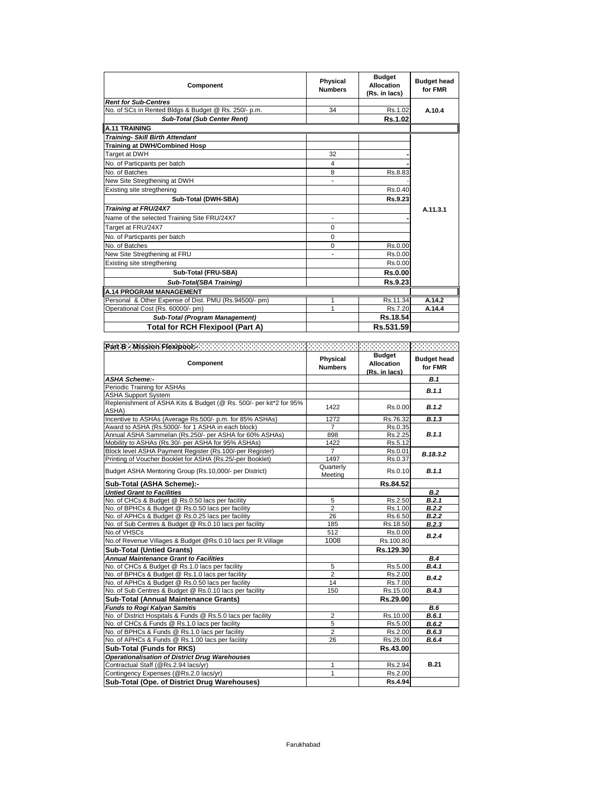| Component                                             | Physical<br><b>Numbers</b> | <b>Budget</b><br><b>Allocation</b><br>(Rs. in lacs) | <b>Budget head</b><br>for FMR |
|-------------------------------------------------------|----------------------------|-----------------------------------------------------|-------------------------------|
| <b>Rent for Sub-Centres</b>                           |                            |                                                     |                               |
| No. of SCs in Rented Bldgs & Budget @ Rs. 250/- p.m.  | 34                         | Rs.1.02                                             | A.10.4                        |
| <b>Sub-Total (Sub Center Rent)</b>                    |                            | Rs.1.02                                             |                               |
| <b>A.11 TRAINING</b>                                  |                            |                                                     |                               |
| <b>Training- Skill Birth Attendant</b>                |                            |                                                     |                               |
| <b>Training at DWH/Combined Hosp</b>                  |                            |                                                     |                               |
| Target at DWH                                         | 32                         |                                                     |                               |
| No. of Particpants per batch                          | 4                          |                                                     |                               |
| No. of Batches                                        | 8                          | Rs.8.83                                             |                               |
| New Site Stregthening at DWH                          |                            |                                                     |                               |
| Existing site stregthening                            |                            | Rs.0.40                                             |                               |
| Sub-Total (DWH-SBA)                                   |                            | Rs.9.23                                             |                               |
| Training at FRU/24X7                                  |                            |                                                     | A.11.3.1                      |
| Name of the selected Training Site FRU/24X7           | ÷                          |                                                     |                               |
| Target at FRU/24X7                                    | $\Omega$                   |                                                     |                               |
| No. of Particpants per batch                          | $\Omega$                   |                                                     |                               |
| No. of Batches                                        | $\Omega$                   | Rs.0.00                                             |                               |
| New Site Stregthening at FRU                          |                            | Rs.0.00                                             |                               |
| Existing site stregthening                            |                            | Rs.0.00                                             |                               |
| Sub-Total (FRU-SBA)                                   |                            | Rs.0.00                                             |                               |
| Sub-Total(SBA Training)                               |                            | Rs.9.23                                             |                               |
| <b>A.14 PROGRAM MANAGEMENT</b>                        |                            |                                                     |                               |
| Personal & Other Expense of Dist. PMU (Rs.94500/- pm) | 1                          | Rs.11.34                                            | A.14.2                        |
| Operational Cost (Rs. 60000/- pm)                     | 1                          | Rs.7.20                                             | A.14.4                        |
| Sub-Total (Program Management)                        |                            | Rs.18.54                                            |                               |
| Total for RCH Flexipool (Part A)                      |                            | Rs.531.59                                           |                               |

| Component                                                          | Physical<br><b>Numbers</b> | <b>Budget</b><br><b>Allocation</b><br>(Rs. in lacs) | <b>Budget head</b><br>for FMR |
|--------------------------------------------------------------------|----------------------------|-----------------------------------------------------|-------------------------------|
| <b>ASHA Scheme:-</b>                                               |                            |                                                     | <b>B.1</b>                    |
| Periodic Training for ASHAs                                        |                            |                                                     | B.1.1                         |
| <b>ASHA Support System</b>                                         |                            |                                                     |                               |
| Replenishment of ASHA Kits & Budget (@ Rs. 500/- per kit*2 for 95% | 1422                       | Rs.0.00                                             | B.1.2                         |
| ASHA)                                                              |                            |                                                     |                               |
| Incentive to ASHAs (Average Rs.500/- p.m. for 85% ASHAs)           | 1272                       | Rs.76.32                                            | B.1.3                         |
| Award to ASHA (Rs.5000/- for 1 ASHA in each block)                 | $\overline{7}$             | Rs.0.35                                             |                               |
| Annual ASHA Sammelan (Rs.250/- per ASHA for 60% ASHAs)             | 898                        | Rs.2.25                                             | B.1.1                         |
| Mobility to ASHAs (Rs.30/- per ASHA for 95% ASHAs)                 | 1422                       | Rs.5.12                                             |                               |
| Block level ASHA Payment Register (Rs.100/-per Register)           | $\overline{7}$             | Rs.0.01                                             | B.18.3.2                      |
| Printing of Voucher Booklet for ASHA (Rs.25/-per Booklet)          | 1497                       | Rs.0.37                                             |                               |
| Budget ASHA Mentoring Group (Rs.10,000/- per District)             | Quarterly<br>Meeting       | Rs.0.10                                             | B.1.1                         |
| Sub-Total (ASHA Scheme):-                                          |                            | Rs.84.52                                            |                               |
| <b>Untied Grant to Facilities</b>                                  |                            |                                                     | <b>B.2</b>                    |
| No. of CHCs & Budget @ Rs.0.50 lacs per facility                   | 5                          | Rs.2.50                                             | B.2.1                         |
| No. of BPHCs & Budget @ Rs.0.50 lacs per facility                  | $\overline{2}$             | Rs.1.00                                             | B.2.2                         |
| No. of APHCs & Budget @ Rs.0.25 lacs per facility                  | 26                         | Rs.6.50                                             | B.2.2                         |
| No. of Sub Centres & Budget @ Rs.0.10 lacs per facility            | 185                        | Rs.18.50                                            | B.2.3                         |
| No.of VHSCs                                                        | 512                        | Rs.0.00                                             |                               |
| No.of Revenue Villages & Budget @Rs.0.10 lacs per R.Village        | 1008                       | Rs.100.80                                           | B.2.4                         |
| <b>Sub-Total (Untied Grants)</b>                                   |                            | Rs.129.30                                           |                               |
| <b>Annual Maintenance Grant to Facilities</b>                      |                            |                                                     | B.4                           |
| No. of CHCs & Budget @ Rs.1.0 lacs per facility                    | 5                          | Rs.5.00                                             | B.4.1                         |
| No. of BPHCs & Budget @ Rs.1.0 lacs per facility                   | $\overline{2}$             | Rs.2.00                                             |                               |
| No. of APHCs & Budget @ Rs.0.50 lacs per facility                  | 14                         | Rs.7.00                                             | B.4.2                         |
| No. of Sub Centres & Budget @ Rs.0.10 lacs per facility            | 150                        | Rs.15.00                                            | B.4.3                         |
| <b>Sub-Total (Annual Maintenance Grants)</b>                       |                            | Rs.29.00                                            |                               |
| <b>Funds to Rogi Kalyan Samitis</b>                                |                            |                                                     | B.6                           |
| No. of District Hospitals & Funds @ Rs.5.0 lacs per facility       | 2                          | Rs.10.00                                            | B.6.1                         |
| No. of CHCs & Funds @ Rs.1.0 lacs per facility                     | 5                          | Rs.5.00                                             | B.6.2                         |
| No. of BPHCs & Funds @ Rs.1.0 lacs per facility                    | $\overline{2}$             | Rs.2.00                                             | B.6.3                         |
| No. of APHCs & Funds @ Rs.1.00 lacs per facility                   | 26                         | Rs.26.00                                            | B.6.4                         |
| Sub-Total (Funds for RKS)                                          |                            | Rs.43.00                                            |                               |
| <b>Operationalisation of District Drug Warehouses</b>              |                            |                                                     |                               |
| Contractual Staff (@Rs.2.94 lacs/yr)                               | 1                          | Rs.2.94                                             | <b>B.21</b>                   |
| Contingency Expenses (@Rs.2.0 lacs/yr)                             | 1                          | Rs.2.00                                             |                               |
| Sub-Total (Ope. of District Drug Warehouses)                       |                            | Rs.4.94                                             |                               |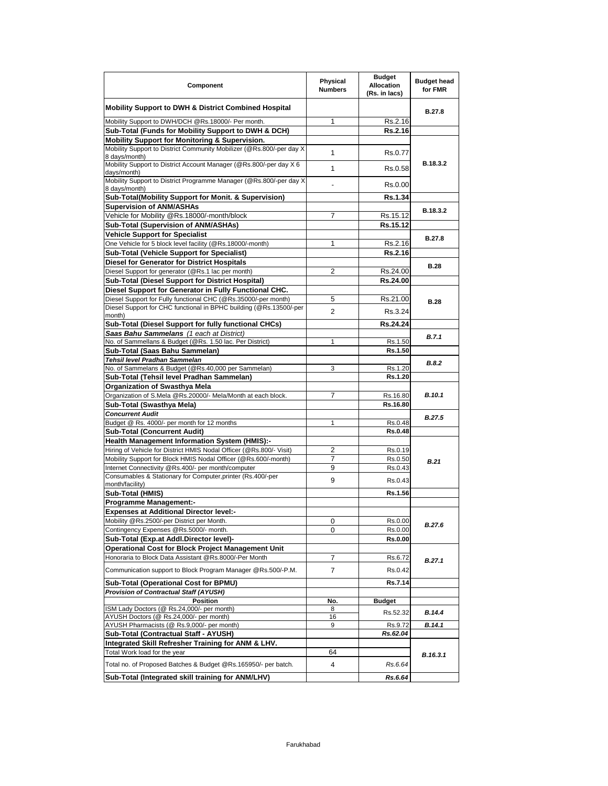| Component                                                                                                                            | Physical<br><b>Numbers</b> | <b>Budget</b><br><b>Allocation</b><br>(Rs. in lacs) | <b>Budget head</b><br>for FMR |
|--------------------------------------------------------------------------------------------------------------------------------------|----------------------------|-----------------------------------------------------|-------------------------------|
| <b>Mobility Support to DWH &amp; District Combined Hospital</b>                                                                      |                            |                                                     | B.27.8                        |
| Mobility Support to DWH/DCH @Rs.18000/- Per month.                                                                                   | 1                          | Rs.2.16                                             |                               |
| Sub-Total (Funds for Mobility Support to DWH & DCH)                                                                                  |                            | Rs.2.16                                             |                               |
| Mobility Support for Monitoring & Supervision.                                                                                       |                            |                                                     |                               |
| Mobility Support to District Community Mobilizer (@Rs.800/-per day X                                                                 | 1                          | Rs.0.77                                             |                               |
| 8 days/month)<br>Mobility Support to District Account Manager (@Rs.800/-per day X 6                                                  |                            |                                                     | B.18.3.2                      |
| days/month)                                                                                                                          | 1                          | Rs.0.58                                             |                               |
| Mobility Support to District Programme Manager (@Rs.800/-per day X<br>8 days/month)                                                  |                            | Rs.0.00                                             |                               |
| Sub-Total(Mobility Support for Monit. & Supervision)                                                                                 |                            | Rs.1.34                                             |                               |
| <b>Supervision of ANM/ASHAs</b>                                                                                                      |                            |                                                     | B.18.3.2                      |
| Vehicle for Mobility @Rs.18000/-month/block                                                                                          | 7                          | Rs.15.12                                            |                               |
| Sub-Total (Supervision of ANM/ASHAs)                                                                                                 |                            | Rs.15.12                                            |                               |
| <b>Vehicle Support for Specialist</b>                                                                                                |                            |                                                     | B.27.8                        |
| One Vehicle for 5 block level facility (@Rs.18000/-month)                                                                            | 1                          | Rs.2.16                                             |                               |
| <b>Sub-Total (Vehicle Support for Specialist)</b>                                                                                    |                            | Rs.2.16                                             |                               |
| Diesel for Generator for District Hospitals                                                                                          |                            |                                                     | <b>B.28</b>                   |
| Diesel Support for generator (@Rs.1 lac per month)                                                                                   | $\overline{2}$             | Rs.24.00                                            |                               |
| Sub-Total (Diesel Support for District Hospital)                                                                                     |                            | Rs.24.00                                            |                               |
| Diesel Support for Generator in Fully Functional CHC.                                                                                |                            |                                                     |                               |
| Diesel Support for Fully functional CHC (@Rs.35000/-per month)<br>Diesel Support for CHC functional in BPHC building (@Rs.13500/-per | 5                          | Rs.21.00                                            | <b>B.28</b>                   |
| month)                                                                                                                               | $\overline{2}$             | Rs.3.24                                             |                               |
| Sub-Total (Diesel Support for fully functional CHCs)                                                                                 |                            | Rs.24.24                                            |                               |
| Saas Bahu Sammelans (1 each at District)                                                                                             |                            |                                                     | B.7.1                         |
| No. of Sammellans & Budget (@Rs. 1.50 lac. Per District)                                                                             | 1                          | Rs.1.50                                             |                               |
| Sub-Total (Saas Bahu Sammelan)                                                                                                       |                            | Rs.1.50                                             |                               |
| Tehsil level Pradhan Sammelan                                                                                                        |                            |                                                     | B.8.2                         |
| No. of Sammelans & Budget (@Rs.40,000 per Sammelan)                                                                                  | 3                          | Rs.1.20<br>Rs.1.20                                  |                               |
| Sub-Total (Tehsil level Pradhan Sammelan)<br>Organization of Swasthya Mela                                                           |                            |                                                     |                               |
| Organization of S.Mela @Rs.20000/- Mela/Month at each block.                                                                         | 7                          | Rs.16.80                                            | <b>B.10.1</b>                 |
| Sub-Total (Swasthya Mela)                                                                                                            |                            | Rs.16.80                                            |                               |
| <b>Concurrent Audit</b>                                                                                                              |                            |                                                     |                               |
| Budget @ Rs. 4000/- per month for 12 months                                                                                          | 1                          | Rs.0.48                                             | <b>B.27.5</b>                 |
| <b>Sub-Total (Concurrent Audit)</b>                                                                                                  |                            | <b>Rs.0.48</b>                                      |                               |
| <b>Health Management Information System (HMIS):-</b>                                                                                 |                            |                                                     |                               |
| Hiring of Vehicle for District HMIS Nodal Officer (@Rs.800/- Visit)                                                                  | 2                          | Rs.0.19                                             |                               |
| Mobility Support for Block HMIS Nodal Officer (@Rs.600/-month)                                                                       | $\overline{7}$             | Rs.0.50                                             | B.21                          |
| Internet Connectivity @Rs.400/- per month/computer                                                                                   | 9                          | Rs.0.43                                             |                               |
| Consumables & Stationary for Computer, printer (Rs.400/-per                                                                          | 9                          | Rs.0.43                                             |                               |
| month/facility)                                                                                                                      |                            |                                                     |                               |
| Sub-Total (HMIS)                                                                                                                     |                            | Rs.1.56                                             |                               |
| <b>Programme Management:-</b>                                                                                                        |                            |                                                     |                               |
| <b>Expenses at Additional Director level:-</b>                                                                                       |                            |                                                     |                               |
| Mobility @Rs.2500/-per District per Month.                                                                                           | 0                          | Rs.0.00                                             | B.27.6                        |
| Contingency Expenses @Rs.5000/- month.                                                                                               | 0                          | Rs.0.00                                             |                               |
| Sub-Total (Exp.at Addl.Director level)-                                                                                              |                            | Rs.0.00                                             |                               |
| <b>Operational Cost for Block Project Management Unit</b>                                                                            |                            |                                                     |                               |
| Honoraria to Block Data Assistant @Rs.8000/-Per Month                                                                                | 7                          | Rs.6.72                                             | B.27.1                        |
| Communication support to Block Program Manager @Rs.500/-P.M.                                                                         | $\overline{7}$             | Rs.0.42                                             |                               |
| Sub-Total (Operational Cost for BPMU)                                                                                                |                            | <b>Rs.7.14</b>                                      |                               |
| Provision of Contractual Staff (AYUSH)                                                                                               |                            |                                                     |                               |
| <b>Position</b>                                                                                                                      | No.                        | <b>Budget</b>                                       |                               |
| ISM Lady Doctors (@ Rs.24,000/- per month)                                                                                           | 8                          | Rs.52.32                                            | B.14.4                        |
| AYUSH Doctors (@ Rs.24,000/- per month)<br>AYUSH Pharmacists (@ Rs.9,000/- per month)                                                | 16<br>9                    | Rs.9.72                                             | B.14.1                        |
| Sub-Total (Contractual Staff - AYUSH)                                                                                                |                            | Rs.62.04                                            |                               |
| Integrated Skill Refresher Training for ANM & LHV.                                                                                   |                            |                                                     |                               |
| Total Work load for the year                                                                                                         | 64                         |                                                     |                               |
| Total no. of Proposed Batches & Budget @Rs.165950/- per batch.                                                                       | 4                          | Rs.6.64                                             | B.16.3.1                      |
| Sub-Total (Integrated skill training for ANM/LHV)                                                                                    |                            | Rs.6.64                                             |                               |
|                                                                                                                                      |                            |                                                     |                               |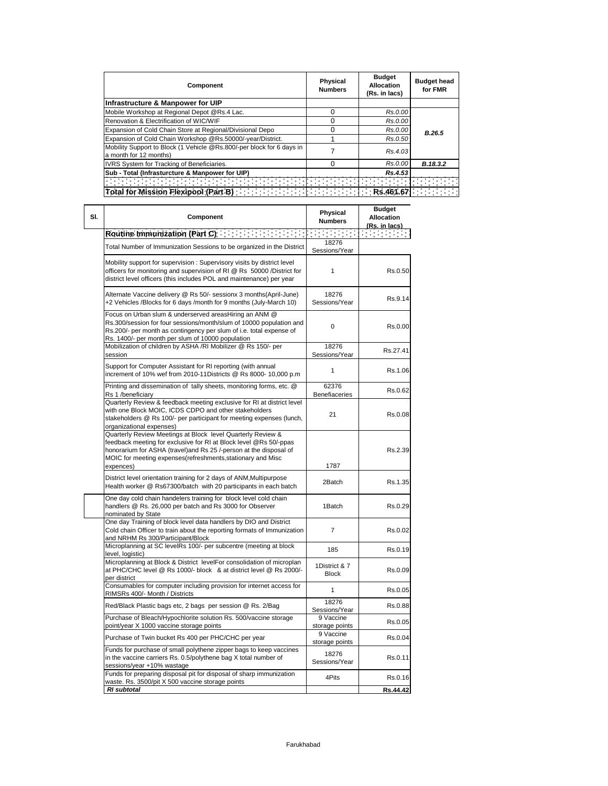| Component                                                                                       | <b>Physical</b><br><b>Numbers</b>                                         | <b>Budget</b><br><b>Allocation</b><br>(Rs. in lacs) | <b>Budget head</b><br>for FMR |
|-------------------------------------------------------------------------------------------------|---------------------------------------------------------------------------|-----------------------------------------------------|-------------------------------|
| Infrastructure & Manpower for UIP                                                               |                                                                           |                                                     |                               |
| Mobile Workshop at Regional Depot @Rs.4 Lac.                                                    | ი                                                                         | Rs.0.00                                             |                               |
| Renovation & Electrification of WIC/WIF                                                         | n                                                                         | Rs.0.00                                             |                               |
| Expansion of Cold Chain Store at Regional/Divisional Depo                                       | ი                                                                         | Rs.0.00                                             | B.26.5                        |
| Expansion of Cold Chain Workshop @Rs.50000/-year/District.                                      |                                                                           | Rs.0.50                                             |                               |
| Mobility Support to Block (1 Vehicle @Rs.800/-per block for 6 days in<br>a month for 12 months) |                                                                           | Rs.4.03                                             |                               |
| IVRS System for Tracking of Beneficiaries.                                                      | ი                                                                         | Rs.0.00                                             | B.18.3.2                      |
| Sub - Total (Infrasturcture & Manpower for UIP)                                                 |                                                                           | Rs.4.53                                             |                               |
|                                                                                                 |                                                                           |                                                     |                               |
| Total for Mission Flexipool (Part B)                                                            | $\frac{1}{2}$   $\frac{1}{2}$   $\frac{1}{2}$   $\frac{1}{2}$   Rs.461.67 |                                                     |                               |

| SI. | Component                                                                                                                                                                                                                                                                         | Physical<br><b>Numbers</b>    | <b>Budget</b><br><b>Allocation</b><br>(Rs. in lacs) |
|-----|-----------------------------------------------------------------------------------------------------------------------------------------------------------------------------------------------------------------------------------------------------------------------------------|-------------------------------|-----------------------------------------------------|
|     | Routine Immunization (Part C)                                                                                                                                                                                                                                                     |                               | an sa basa                                          |
|     | Total Number of Immunization Sessions to be organized in the District                                                                                                                                                                                                             | 18276<br>Sessions/Year        |                                                     |
|     | Mobility support for supervision: Supervisory visits by district level<br>officers for monitoring and supervision of RI @ Rs 50000 /District for<br>district level officers (this includes POL and maintenance) per year                                                          | 1                             | Rs.0.50                                             |
|     | Alternate Vaccine delivery @ Rs 50/- sessionx 3 months(April-June)<br>+2 Vehicles /Blocks for 6 days /month for 9 months (July-March 10)                                                                                                                                          | 18276<br>Sessions/Year        | Rs.9.14                                             |
|     | Focus on Urban slum & underserved areasHiring an ANM @<br>Rs.300/session for four sessions/month/slum of 10000 population and<br>Rs.200/- per month as contingency per slum of i.e. total expense of<br>Rs. 1400/- per month per slum of 10000 population                         | 0                             | Rs.0.00                                             |
|     | Mobilization of children by ASHA /RI Mobilizer @ Rs 150/- per<br>session                                                                                                                                                                                                          | 18276<br>Sessions/Year        | Rs.27.41                                            |
|     | Support for Computer Assistant for RI reporting (with annual<br>increment of 10% wef from 2010-11Districts @ Rs 8000- 10,000 p.m                                                                                                                                                  | 1                             | Rs.1.06                                             |
|     | Printing and dissemination of tally sheets, monitoring forms, etc. @<br>Rs 1 /beneficiary                                                                                                                                                                                         | 62376<br><b>Benefiaceries</b> | Rs.0.62                                             |
|     | Quarterly Review & feedback meeting exclusive for RI at district level<br>with one Block MOIC, ICDS CDPO and other stakeholders<br>stakeholders @ Rs 100/- per participant for meeting expenses (lunch,<br>organizational expenses)                                               | 21                            | Rs.0.08                                             |
|     | Quarterly Review Meetings at Block level Quarterly Review &<br>feedback meeting for exclusive for RI at Block level @Rs 50/-ppas<br>honorarium for ASHA (travel)and Rs 25 /-person at the disposal of<br>MOIC for meeting expenses(refreshments, stationary and Misc<br>expences) | 1787                          | Rs.2.39                                             |
|     | District level orientation training for 2 days of ANM, Multipurpose<br>Health worker @ Rs67300/batch with 20 participants in each batch                                                                                                                                           | 2Batch                        | Rs.1.35                                             |
|     | One day cold chain handelers training for block level cold chain<br>handlers @ Rs. 26,000 per batch and Rs 3000 for Observer<br>nominated by State                                                                                                                                | 1Batch                        | Rs.0.29                                             |
|     | One day Training of block level data handlers by DIO and District<br>Cold chain Officer to train about the reporting formats of Immunization<br>and NRHM Rs 300/Participant/Block                                                                                                 | 7                             | Rs.0.02                                             |
|     | Microplanning at SC levelRs 100/- per subcentre (meeting at block<br>level, logistic)                                                                                                                                                                                             | 185                           | Rs.0.19                                             |
|     | Microplanning at Block & District levelFor consolidation of microplan<br>at PHC/CHC level @ Rs 1000/- block & at district level @ Rs 2000/-<br>per district                                                                                                                       | 1District & 7<br><b>Block</b> | Rs.0.09                                             |
|     | Consumables for computer including provision for internet access for<br>RIMSRs 400/- Month / Districts                                                                                                                                                                            | 1                             | Rs.0.05                                             |
|     | Red/Black Plastic bags etc, 2 bags per session @ Rs. 2/Bag                                                                                                                                                                                                                        | 18276<br>Sessions/Year        | Rs.0.88                                             |
|     | Purchase of Bleach/Hypochlorite solution Rs. 500/vaccine storage<br>point/year X 1000 vaccine storage points                                                                                                                                                                      | 9 Vaccine<br>storage points   | Rs.0.05                                             |
|     | Purchase of Twin bucket Rs 400 per PHC/CHC per year                                                                                                                                                                                                                               | 9 Vaccine<br>storage points   | Rs.0.04                                             |
|     | Funds for purchase of small polythene zipper bags to keep vaccines<br>in the vaccine carriers Rs. 0.5/polythene bag X total number of<br>sessions/year +10% wastage                                                                                                               | 18276<br>Sessions/Year        | Rs.0.11                                             |
|     | Funds for preparing disposal pit for disposal of sharp immunization<br>waste. Rs. 3500/pit X 500 vaccine storage points                                                                                                                                                           | 4Pits                         | Rs.0.16                                             |
|     | <b>RI</b> subtotal                                                                                                                                                                                                                                                                |                               | Rs.44.42                                            |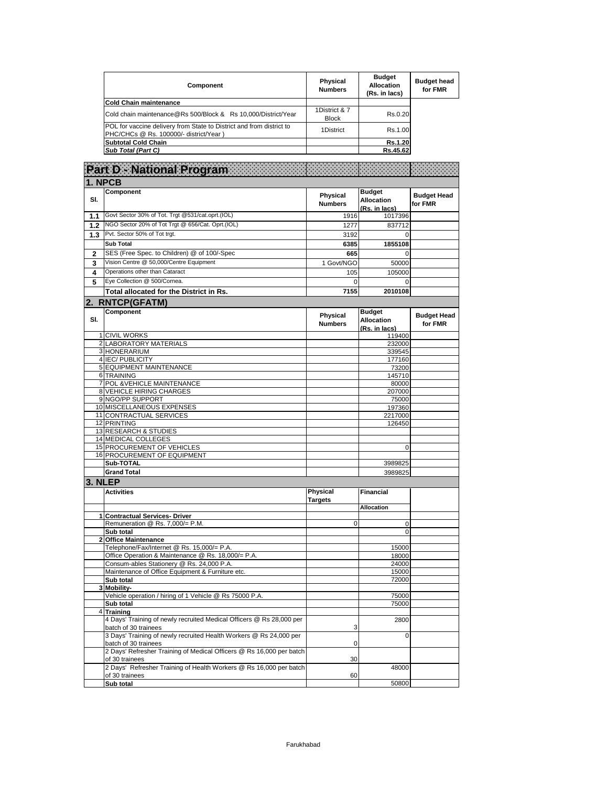| Component                                                                                                      | Physical<br><b>Numbers</b>    | <b>Budget</b><br>Allocation<br>(Rs. in lacs) | <b>Budget head</b><br>for FMR |
|----------------------------------------------------------------------------------------------------------------|-------------------------------|----------------------------------------------|-------------------------------|
| Cold Chain maintenance                                                                                         |                               |                                              |                               |
| Cold chain maintenance@Rs 500/Block & Rs 10,000/District/Year                                                  | 1District & 7<br><b>Block</b> | Rs.0.20                                      |                               |
| POL for vaccine delivery from State to District and from district to<br>PHC/CHCs @ Rs. 100000/- district/Year) | 1District                     | Rs.1.00                                      |                               |
| Subtotal Cold Chain                                                                                            |                               | <b>Rs.1.20</b>                               |                               |
| Sub Total (Part C)                                                                                             |                               | Rs.45.62                                     |                               |

|     | <b>Part D - National Program</b>                                                                           |                                   |                                                     |                               |
|-----|------------------------------------------------------------------------------------------------------------|-----------------------------------|-----------------------------------------------------|-------------------------------|
|     | 1. NPCB                                                                                                    |                                   |                                                     |                               |
| SI. | Component                                                                                                  | Physical<br><b>Numbers</b>        | <b>Budget</b><br><b>Allocation</b><br>(Rs. in lacs) | <b>Budget Head</b><br>for FMR |
| 1.1 | Govt Sector 30% of Tot. Trgt @531/cat.oprt.(IOL)                                                           | 1916                              | 1017396                                             |                               |
| 1.2 | NGO Sector 20% of Tot Trgt @ 656/Cat. Oprt.(IOL)                                                           | 1277                              | 837712                                              |                               |
| 1.3 | Pvt. Sector 50% of Tot trgt.                                                                               | 3192                              | $\Omega$                                            |                               |
|     | Sub Total                                                                                                  | 6385                              | 1855108                                             |                               |
| 2   | SES (Free Spec. to Children) @ of 100/-Spec                                                                | 665                               | 0                                                   |                               |
| 3   | Vision Centre @ 50,000/Centre Equipment                                                                    | 1 Govt/NGO                        | 50000                                               |                               |
| 4   | Operations other than Cataract                                                                             | 105                               | 105000                                              |                               |
| 5   | Eye Collection @ 500/Cornea.                                                                               | 0                                 | 0                                                   |                               |
|     |                                                                                                            | 7155                              | 2010108                                             |                               |
|     | Total allocated for the District in Rs.                                                                    |                                   |                                                     |                               |
|     | 2. RNTCP(GFATM)                                                                                            |                                   |                                                     |                               |
| SI. | Component                                                                                                  | Physical<br><b>Numbers</b>        | <b>Budget</b><br><b>Allocation</b><br>(Rs. in lacs) | <b>Budget Head</b><br>for FMR |
|     | 1 CIVIL WORKS                                                                                              |                                   | 119400                                              |                               |
|     | 2 LABORATORY MATERIALS                                                                                     |                                   | 232000                                              |                               |
|     | 3 HONERARIUM                                                                                               |                                   | 339545                                              |                               |
|     | 4 IEC/ PUBLICITY                                                                                           |                                   | 177160                                              |                               |
|     | 5 EQUIPMENT MAINTENANCE<br>6 TRAINING                                                                      |                                   | 73200                                               |                               |
|     | 7 POL & VEHICLE MAINTENANCE                                                                                |                                   | 145710<br>80000                                     |                               |
|     | 8 VEHICLE HIRING CHARGES                                                                                   |                                   | 207000                                              |                               |
|     | 9 NGO/PP SUPPORT                                                                                           |                                   | 75000                                               |                               |
|     | 10 MISCELLANEOUS EXPENSES                                                                                  |                                   | 197360                                              |                               |
|     | 11 CONTRACTUAL SERVICES                                                                                    |                                   | 2217000                                             |                               |
|     | 12 PRINTING                                                                                                |                                   | 126450                                              |                               |
|     | 13 RESEARCH & STUDIES                                                                                      |                                   |                                                     |                               |
|     | 14 MEDICAL COLLEGES                                                                                        |                                   |                                                     |                               |
|     | 15 PROCUREMENT OF VEHICLES                                                                                 |                                   | 0                                                   |                               |
|     | 16 PROCUREMENT OF EQUIPMENT                                                                                |                                   |                                                     |                               |
|     | Sub-TOTAL                                                                                                  |                                   | 3989825                                             |                               |
|     | <b>Grand Total</b>                                                                                         |                                   | 3989825                                             |                               |
|     | 3. NLEP                                                                                                    |                                   |                                                     |                               |
|     | <b>Activities</b>                                                                                          | <b>Physical</b><br><b>Targets</b> | <b>Financial</b>                                    |                               |
|     |                                                                                                            |                                   | <b>Allocation</b>                                   |                               |
|     | 1 Contractual Services- Driver                                                                             | 0                                 |                                                     |                               |
|     | Remuneration @ Rs. 7,000/= P.M.<br>Sub total                                                               |                                   | 0<br>0                                              |                               |
|     | 2 Office Maintenance                                                                                       |                                   |                                                     |                               |
|     | Telephone/Fax/Internet @ Rs. 15,000/= P.A.                                                                 |                                   | 15000                                               |                               |
|     | Office Operation & Maintenance @ Rs. 18,000/= P.A.                                                         |                                   | 18000                                               |                               |
|     | Consum-ables Stationery @ Rs. 24,000 P.A.                                                                  |                                   | 24000                                               |                               |
|     | Maintenance of Office Equipment & Furniture etc.                                                           |                                   | 15000                                               |                               |
|     | Sub total                                                                                                  |                                   | 72000                                               |                               |
| 3   | Mobility-                                                                                                  |                                   |                                                     |                               |
|     | Vehicle operation / hiring of 1 Vehicle @ Rs 75000 P.A.                                                    |                                   | 75000                                               |                               |
|     | Sub total                                                                                                  |                                   | 75000                                               |                               |
|     | 4 Training<br>4 Days' Training of newly recruited Medical Officers @ Rs 28,000 per<br>batch of 30 trainees | 3                                 | 2800                                                |                               |
|     | 3 Days' Training of newly recruited Health Workers @ Rs 24,000 per<br>batch of 30 trainees                 | $\pmb{0}$                         | 0                                                   |                               |
|     | 2 Days' Refresher Training of Medical Officers @ Rs 16,000 per batch<br>of 30 trainees                     | 30                                |                                                     |                               |
|     | 2 Days' Refresher Training of Health Workers @ Rs 16,000 per batch<br>of 30 trainees                       | 60                                | 48000                                               |                               |
|     | Sub total                                                                                                  |                                   | 50800                                               |                               |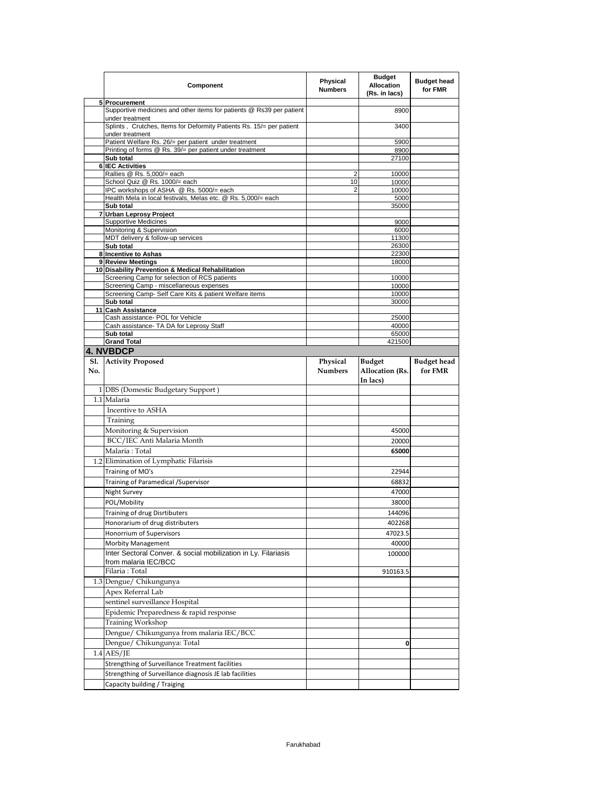|     | Component                                                                               | Physical<br><b>Numbers</b> | <b>Budget</b><br><b>Allocation</b><br>(Rs. in lacs) | <b>Budget head</b><br>for FMR |
|-----|-----------------------------------------------------------------------------------------|----------------------------|-----------------------------------------------------|-------------------------------|
|     | 5 Procurement                                                                           |                            |                                                     |                               |
|     | Supportive medicines and other items for patients @ Rs39 per patient<br>under treatment |                            | 8900                                                |                               |
|     | Splints, Crutches, Items for Deformity Patients Rs. 15/= per patient<br>under treatment |                            | 3400                                                |                               |
|     | Patient Welfare Rs. 26/= per patient under treatment                                    |                            | 5900                                                |                               |
|     | Printing of forms @ Rs. 39/= per patient under treatment                                |                            | 8900                                                |                               |
|     | Sub total                                                                               |                            | 27100                                               |                               |
|     | <b>6 IEC Activities</b><br>Rallies @ Rs. 5,000/= each                                   | 2                          | 10000                                               |                               |
|     | School Quiz @ Rs. 1000/= each                                                           | 10                         | 10000                                               |                               |
|     | IPC workshops of ASHA @ Rs. 5000/= each                                                 | 2                          | 10000                                               |                               |
|     | Health Mela in local festivals, Melas etc. @ Rs. 5,000/= each                           |                            | 5000                                                |                               |
|     | Sub total<br>7 Urban Leprosy Project                                                    |                            | 35000                                               |                               |
|     | <b>Supportive Medicines</b>                                                             |                            | 9000                                                |                               |
|     | Monitoring & Supervision                                                                |                            | 6000                                                |                               |
|     | MDT delivery & follow-up services                                                       |                            | 11300                                               |                               |
|     | Sub total                                                                               |                            | 26300<br>22300                                      |                               |
|     | 8 Incentive to Ashas<br>9 Review Meetings                                               |                            | 18000                                               |                               |
|     | 10 Disability Prevention & Medical Rehabilitation                                       |                            |                                                     |                               |
|     | Screening Camp for selection of RCS patients                                            |                            | 10000                                               |                               |
|     | Screening Camp - miscellaneous expenses                                                 |                            | 10000                                               |                               |
|     | Screening Camp- Self Care Kits & patient Welfare items<br>Sub total                     |                            | 10000<br>30000                                      |                               |
|     | 11 Cash Assistance                                                                      |                            |                                                     |                               |
|     | Cash assistance- POL for Vehicle                                                        |                            | 25000                                               |                               |
|     | Cash assistance- TA DA for Leprosy Staff                                                |                            | 40000                                               |                               |
|     | Sub total<br><b>Grand Total</b>                                                         |                            | 65000<br>421500                                     |                               |
|     | <b>4. NVBDCP</b>                                                                        |                            |                                                     |                               |
|     | Sl. Activity Proposed                                                                   | Physical                   | <b>Budget</b>                                       | <b>Budget head</b>            |
| No. |                                                                                         | <b>Numbers</b>             | <b>Allocation</b> (Rs.<br>In lacs)                  | for FMR                       |
|     | 1 DBS (Domestic Budgetary Support)                                                      |                            |                                                     |                               |
|     | 1.1 Malaria                                                                             |                            |                                                     |                               |
|     | Incentive to ASHA                                                                       |                            |                                                     |                               |
|     | Training                                                                                |                            |                                                     |                               |
|     | Monitoring & Supervision                                                                |                            | 45000                                               |                               |
|     | BCC/IEC Anti Malaria Month                                                              |                            | 20000                                               |                               |
|     | Malaria: Total                                                                          |                            | 65000                                               |                               |
|     | 1.2 Elimination of Lymphatic Filarisis                                                  |                            |                                                     |                               |
|     | Training of MO's                                                                        |                            | 22944                                               |                               |
|     | Training of Paramedical / Supervisor                                                    |                            | 68832                                               |                               |
|     | Night Survey                                                                            |                            | 47000                                               |                               |
|     | POL/Mobility                                                                            |                            | 38000                                               |                               |
|     | <b>Training of drug Disrtibuters</b>                                                    |                            | 144096                                              |                               |
|     | Honorarium of drug distributers                                                         |                            | 402268                                              |                               |
|     | Honorrium of Supervisors                                                                |                            | 47023.5                                             |                               |
|     | Morbity Management                                                                      |                            | 40000                                               |                               |
|     | Inter Sectoral Conver. & social mobilization in Ly. Filariasis                          |                            | 100000                                              |                               |
|     | from malaria IEC/BCC                                                                    |                            |                                                     |                               |
|     | Filaria: Total                                                                          |                            | 910163.5                                            |                               |
|     | 1.3 Dengue/ Chikungunya                                                                 |                            |                                                     |                               |
|     | Apex Referral Lab                                                                       |                            |                                                     |                               |
|     | sentinel surveillance Hospital                                                          |                            |                                                     |                               |
|     | Epidemic Preparedness & rapid response                                                  |                            |                                                     |                               |
|     | Training Workshop                                                                       |                            |                                                     |                               |
|     |                                                                                         |                            |                                                     |                               |
|     | Dengue/ Chikungunya from malaria IEC/BCC                                                |                            |                                                     |                               |
|     | Dengue/ Chikungunya: Total                                                              |                            | 0                                                   |                               |
|     | $1.4$ AES/JE                                                                            |                            |                                                     |                               |
|     | Strengthing of Surveillance Treatment facilities                                        |                            |                                                     |                               |
|     | Strengthing of Surveillance diagnosis JE lab facilities                                 |                            |                                                     |                               |